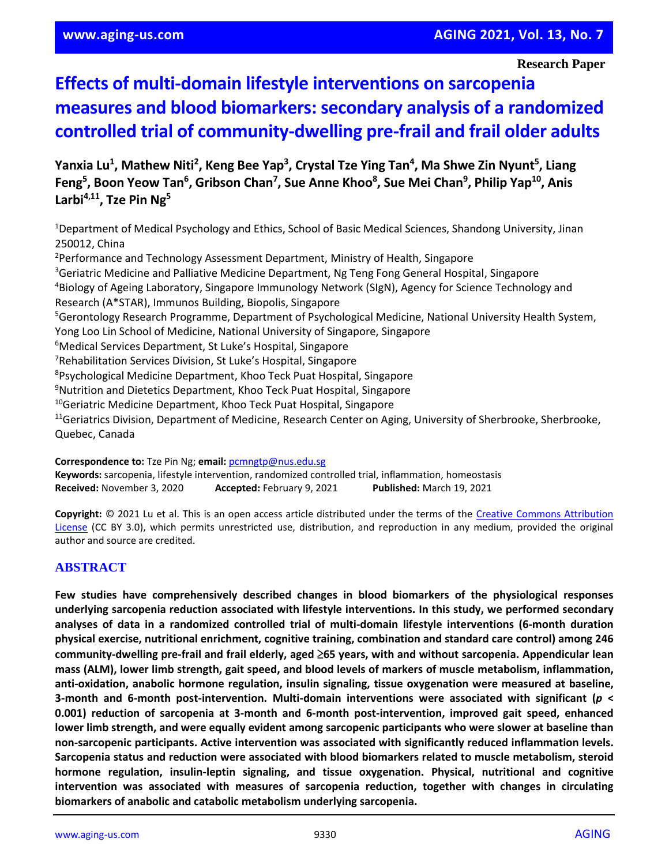#### **Research Paper**

# **Effects of multi-domain lifestyle interventions on sarcopenia measures and blood biomarkers: secondary analysis of a randomized controlled trial of community-dwelling pre-frail and frail older adults**

Yanxia Lu<sup>1</sup>, Mathew Niti<sup>2</sup>, Keng Bee Yap<sup>3</sup>, Crystal Tze Ying Tan<sup>4</sup>, Ma Shwe Zin Nyunt<sup>5</sup>, Liang **Feng<sup>5</sup> , Boon Yeow Tan<sup>6</sup> , Gribson Chan<sup>7</sup> , Sue Anne Khoo<sup>8</sup> , Sue Mei Chan<sup>9</sup> , Philip Yap<sup>10</sup>, Anis Larbi4,11, Tze Pin Ng<sup>5</sup>**

<sup>1</sup>Department of Medical Psychology and Ethics, School of Basic Medical Sciences, Shandong University, Jinan 250012, China

<sup>2</sup>Performance and Technology Assessment Department, Ministry of Health, Singapore <sup>3</sup>Geriatric Medicine and Palliative Medicine Department, Ng Teng Fong General Hospital, Singapore <sup>4</sup>Biology of Ageing Laboratory, Singapore Immunology Network (SIgN), Agency for Science Technology and Research (A\*STAR), Immunos Building, Biopolis, Singapore <sup>5</sup>Gerontology Research Programme, Department of Psychological Medicine, National University Health System, Yong Loo Lin School of Medicine, National University of Singapore, Singapore <sup>6</sup>Medical Services Department, St Luke's Hospital, Singapore <sup>7</sup>Rehabilitation Services Division, St Luke's Hospital, Singapore <sup>8</sup>Psychological Medicine Department, Khoo Teck Puat Hospital, Singapore <sup>9</sup>Nutrition and Dietetics Department, Khoo Teck Puat Hospital, Singapore <sup>10</sup>Geriatric Medicine Department, Khoo Teck Puat Hospital, Singapore <sup>11</sup>Geriatrics Division, Department of Medicine, Research Center on Aging, University of Sherbrooke, Sherbrooke, Quebec, Canada

**Correspondence to:** Tze Pin Ng; **email:** [pcmngtp@nus.edu.sg](mailto:pcmngtp@nus.edu.sg)

**Keywords:** sarcopenia, lifestyle intervention, randomized controlled trial, inflammation, homeostasis **Received:** November 3, 2020 **Accepted:** February 9, 2021 **Published:** March 19, 2021

**Copyright:** © 2021 Lu et al. This is an open access article distributed under the terms of the [Creative Commons Attribution](https://creativecommons.org/licenses/by/3.0/)  [License](https://creativecommons.org/licenses/by/3.0/) (CC BY 3.0), which permits unrestricted use, distribution, and reproduction in any medium, provided the original author and source are credited.

# **ABSTRACT**

**Few studies have comprehensively described changes in blood biomarkers of the physiological responses underlying sarcopenia reduction associated with lifestyle interventions. In this study, we performed secondary analyses of data in a randomized controlled trial of multi-domain lifestyle interventions (6-month duration physical exercise, nutritional enrichment, cognitive training, combination and standard care control) among 246 community-dwelling pre-frail and frail elderly, aged** ≥**65 years, with and without sarcopenia. Appendicular lean mass (ALM), lower limb strength, gait speed, and blood levels of markers of muscle metabolism, inflammation, anti-oxidation, anabolic hormone regulation, insulin signaling, tissue oxygenation were measured at baseline, 3-month and 6-month post-intervention. Multi-domain interventions were associated with significant (***p* **< 0.001) reduction of sarcopenia at 3-month and 6-month post-intervention, improved gait speed, enhanced lower limb strength, and were equally evident among sarcopenic participants who were slower at baseline than non-sarcopenic participants. Active intervention was associated with significantly reduced inflammation levels. Sarcopenia status and reduction were associated with blood biomarkers related to muscle metabolism, steroid hormone regulation, insulin-leptin signaling, and tissue oxygenation. Physical, nutritional and cognitive intervention was associated with measures of sarcopenia reduction, together with changes in circulating biomarkers of anabolic and catabolic metabolism underlying sarcopenia.**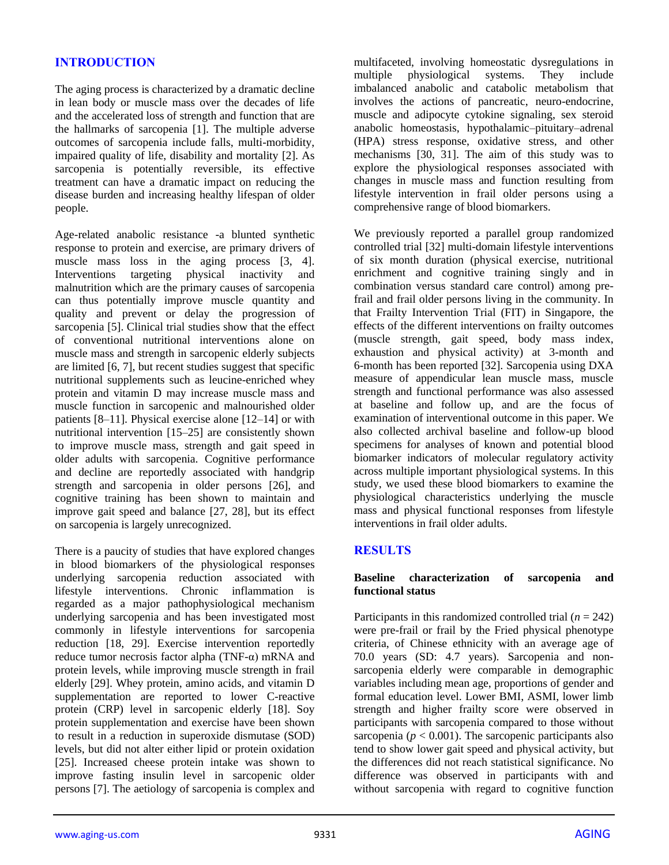# **INTRODUCTION**

The aging process is characterized by a dramatic decline in lean body or muscle mass over the decades of life and the accelerated loss of strength and function that are the hallmarks of sarcopenia [1]. The multiple adverse outcomes of sarcopenia include falls, multi-morbidity, impaired quality of life, disability and mortality [2]. As sarcopenia is potentially reversible, its effective treatment can have a dramatic impact on reducing the disease burden and increasing healthy lifespan of older people.

Age-related anabolic resistance -a blunted synthetic response to protein and exercise, are primary drivers of muscle mass loss in the aging process [3, 4]. Interventions targeting physical inactivity and malnutrition which are the primary causes of sarcopenia can thus potentially improve muscle quantity and quality and prevent or delay the progression of sarcopenia [5]. Clinical trial studies show that the effect of conventional nutritional interventions alone on muscle mass and strength in sarcopenic elderly subjects are limited [6, 7], but recent studies suggest that specific nutritional supplements such as leucine-enriched whey protein and vitamin D may increase muscle mass and muscle function in sarcopenic and malnourished older patients [8–11]. Physical exercise alone [12–14] or with nutritional intervention [15–25] are consistently shown to improve muscle mass, strength and gait speed in older adults with sarcopenia. Cognitive performance and decline are reportedly associated with handgrip strength and sarcopenia in older persons [26], and cognitive training has been shown to maintain and improve gait speed and balance [27, 28], but its effect on sarcopenia is largely unrecognized.

There is a paucity of studies that have explored changes in blood biomarkers of the physiological responses underlying sarcopenia reduction associated with lifestyle interventions. Chronic inflammation is regarded as a major pathophysiological mechanism underlying sarcopenia and has been investigated most commonly in lifestyle interventions for sarcopenia reduction [18, 29]. Exercise intervention reportedly reduce tumor necrosis factor alpha (TNF-α) mRNA and protein levels, while improving muscle strength in frail elderly [29]. Whey protein, amino acids, and vitamin D supplementation are reported to lower C-reactive protein (CRP) level in sarcopenic elderly [18]. Soy protein supplementation and exercise have been shown to result in a reduction in superoxide dismutase (SOD) levels, but did not alter either lipid or protein oxidation [25]. Increased cheese protein intake was shown to improve fasting insulin level in sarcopenic older persons [7]. The aetiology of sarcopenia is complex and

multifaceted, involving homeostatic dysregulations in multiple physiological systems. They include multiple physiological systems. They include imbalanced anabolic and catabolic metabolism that involves the actions of pancreatic, neuro-endocrine, muscle and adipocyte cytokine signaling, sex steroid anabolic homeostasis, hypothalamic–pituitary–adrenal (HPA) stress response, oxidative stress, and other mechanisms [30, 31]. The aim of this study was to explore the physiological responses associated with changes in muscle mass and function resulting from lifestyle intervention in frail older persons using a comprehensive range of blood biomarkers.

We previously reported a parallel group randomized controlled trial [32] multi-domain lifestyle interventions of six month duration (physical exercise, nutritional enrichment and cognitive training singly and in combination versus standard care control) among prefrail and frail older persons living in the community. In that Frailty Intervention Trial (FIT) in Singapore, the effects of the different interventions on frailty outcomes (muscle strength, gait speed, body mass index, exhaustion and physical activity) at 3-month and 6-month has been reported [32]. Sarcopenia using DXA measure of appendicular lean muscle mass, muscle strength and functional performance was also assessed at baseline and follow up, and are the focus of examination of interventional outcome in this paper. We also collected archival baseline and follow-up blood specimens for analyses of known and potential blood biomarker indicators of molecular regulatory activity across multiple important physiological systems. In this study, we used these blood biomarkers to examine the physiological characteristics underlying the muscle mass and physical functional responses from lifestyle interventions in frail older adults.

## **RESULTS**

#### **Baseline characterization of sarcopenia and functional status**

Participants in this randomized controlled trial  $(n = 242)$ were pre-frail or frail by the Fried physical phenotype criteria, of Chinese ethnicity with an average age of 70.0 years (SD: 4.7 years). Sarcopenia and nonsarcopenia elderly were comparable in demographic variables including mean age, proportions of gender and formal education level. Lower BMI, ASMI, lower limb strength and higher frailty score were observed in participants with sarcopenia compared to those without sarcopenia ( $p < 0.001$ ). The sarcopenic participants also tend to show lower gait speed and physical activity, but the differences did not reach statistical significance. No difference was observed in participants with and without sarcopenia with regard to cognitive function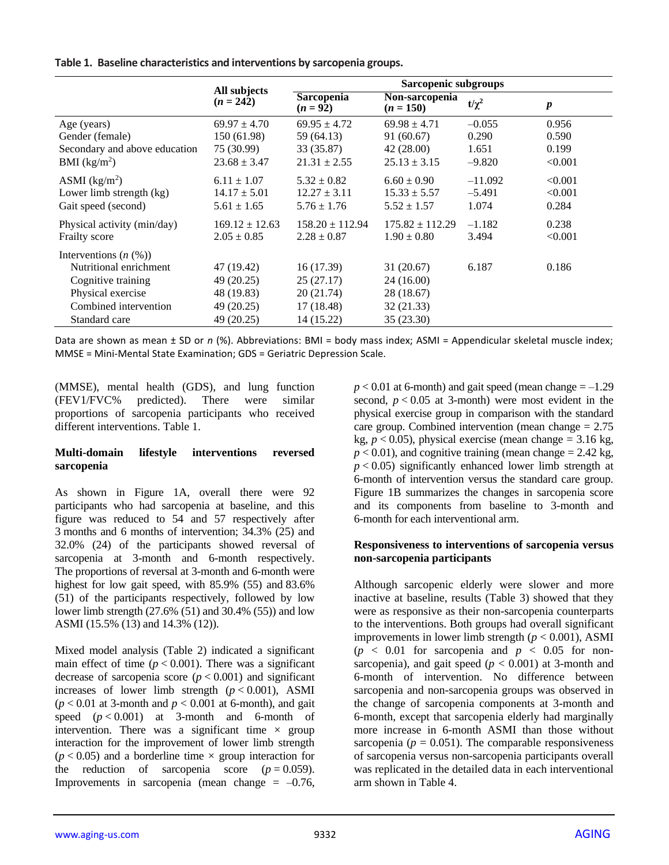|  |  |  |  |  |  | Table 1. Baseline characteristics and interventions by sarcopenia groups. |
|--|--|--|--|--|--|---------------------------------------------------------------------------|
|--|--|--|--|--|--|---------------------------------------------------------------------------|

|                                                                                                                                           | All subjects                                                       | Sarcopenic subgroups                                             |                                                                    |            |                  |  |  |
|-------------------------------------------------------------------------------------------------------------------------------------------|--------------------------------------------------------------------|------------------------------------------------------------------|--------------------------------------------------------------------|------------|------------------|--|--|
|                                                                                                                                           | $(n = 242)$                                                        | <b>Sarcopenia</b><br>$(n = 92)$                                  | Non-sarcopenia<br>$(n = 150)$                                      | $t/\chi^2$ | $\boldsymbol{p}$ |  |  |
| Age (years)                                                                                                                               | $69.97 \pm 4.70$                                                   | $69.95 \pm 4.72$                                                 | $69.98 \pm 4.71$                                                   | $-0.055$   | 0.956            |  |  |
| Gender (female)                                                                                                                           | 150 (61.98)                                                        | 59 (64.13)                                                       | 91 (60.67)                                                         | 0.290      | 0.590            |  |  |
| Secondary and above education                                                                                                             | 75 (30.99)                                                         | 33 (35.87)                                                       | 42(28.00)                                                          | 1.651      | 0.199            |  |  |
| BMI $(kg/m2)$                                                                                                                             | $23.68 \pm 3.47$                                                   | $21.31 \pm 2.55$                                                 | $25.13 \pm 3.15$                                                   | $-9.820$   | < 0.001          |  |  |
| ASMI $(kg/m2)$                                                                                                                            | $6.11 \pm 1.07$                                                    | $5.32 \pm 0.82$                                                  | $6.60 \pm 0.90$                                                    | $-11.092$  | < 0.001          |  |  |
| Lower limb strength (kg)                                                                                                                  | $14.17 \pm 5.01$                                                   | $12.27 \pm 3.11$                                                 | $15.33 \pm 5.57$                                                   | $-5.491$   | < 0.001          |  |  |
| Gait speed (second)                                                                                                                       | $5.61 \pm 1.65$                                                    | $5.76 \pm 1.76$                                                  | $5.52 \pm 1.57$                                                    | 1.074      | 0.284            |  |  |
| Physical activity (min/day)                                                                                                               | $169.12 \pm 12.63$                                                 | $158.20 \pm 112.94$                                              | $175.82 \pm 112.29$                                                | $-1.182$   | 0.238            |  |  |
| Frailty score                                                                                                                             | $2.05 \pm 0.85$                                                    | $2.28 \pm 0.87$                                                  | $1.90 \pm 0.80$                                                    | 3.494      | < 0.001          |  |  |
| Interventions $(n \ (\%))$<br>Nutritional enrichment<br>Cognitive training<br>Physical exercise<br>Combined intervention<br>Standard care | 47 (19.42)<br>49 (20.25)<br>48 (19.83)<br>49 (20.25)<br>49 (20.25) | 16 (17.39)<br>25(27.17)<br>20 (21.74)<br>17(18.48)<br>14 (15.22) | 31 (20.67)<br>24 (16.00)<br>28 (18.67)<br>32 (21.33)<br>35 (23.30) | 6.187      | 0.186            |  |  |

Data are shown as mean ± SD or *n* (%). Abbreviations: BMI = body mass index; ASMI = Appendicular skeletal muscle index; MMSE = Mini-Mental State Examination; GDS = Geriatric Depression Scale.

(MMSE), mental health (GDS), and lung function (FEV1/FVC% predicted). There were similar proportions of sarcopenia participants who received different interventions. Table 1.

## **Multi-domain lifestyle interventions reversed sarcopenia**

As shown in Figure 1A, overall there were 92 participants who had sarcopenia at baseline, and this figure was reduced to 54 and 57 respectively after 3 months and 6 months of intervention; 34.3% (25) and 32.0% (24) of the participants showed reversal of sarcopenia at 3-month and 6-month respectively. The proportions of reversal at 3-month and 6-month were highest for low gait speed, with 85.9% (55) and 83.6% (51) of the participants respectively, followed by low lower limb strength (27.6% (51) and 30.4% (55)) and low ASMI (15.5% (13) and 14.3% (12)).

Mixed model analysis (Table 2) indicated a significant main effect of time  $(p < 0.001)$ . There was a significant decrease of sarcopenia score  $(p < 0.001)$  and significant increases of lower limb strength  $(p < 0.001)$ , ASMI  $(p < 0.01$  at 3-month and  $p < 0.001$  at 6-month), and gait speed  $(p < 0.001)$  at 3-month and 6-month of intervention. There was a significant time  $\times$  group interaction for the improvement of lower limb strength  $(p < 0.05)$  and a borderline time  $\times$  group interaction for the reduction of sarcopenia score  $(p = 0.059)$ . Improvements in sarcopenia (mean change  $= -0.76$ ,

 $p < 0.01$  at 6-month) and gait speed (mean change  $= -1.29$ ) second,  $p < 0.05$  at 3-month) were most evident in the physical exercise group in comparison with the standard care group. Combined intervention (mean change  $= 2.75$ ) kg,  $p < 0.05$ ), physical exercise (mean change =  $3.16$  kg,  $p < 0.01$ ), and cognitive training (mean change  $= 2.42$  kg,  $p < 0.05$ ) significantly enhanced lower limb strength at 6-month of intervention versus the standard care group. Figure 1B summarizes the changes in sarcopenia score and its components from baseline to 3-month and 6-month for each interventional arm.

#### **Responsiveness to interventions of sarcopenia versus non-sarcopenia participants**

Although sarcopenic elderly were slower and more inactive at baseline, results (Table 3) showed that they were as responsive as their non-sarcopenia counterparts to the interventions. Both groups had overall significant improvements in lower limb strength  $(p < 0.001)$ , ASMI  $(p \lt 0.01$  for sarcopenia and  $p \lt 0.05$  for nonsarcopenia), and gait speed  $(p < 0.001)$  at 3-month and 6-month of intervention. No difference between sarcopenia and non-sarcopenia groups was observed in the change of sarcopenia components at 3-month and 6-month, except that sarcopenia elderly had marginally more increase in 6-month ASMI than those without sarcopenia ( $p = 0.051$ ). The comparable responsiveness of sarcopenia versus non-sarcopenia participants overall was replicated in the detailed data in each interventional arm shown in Table 4.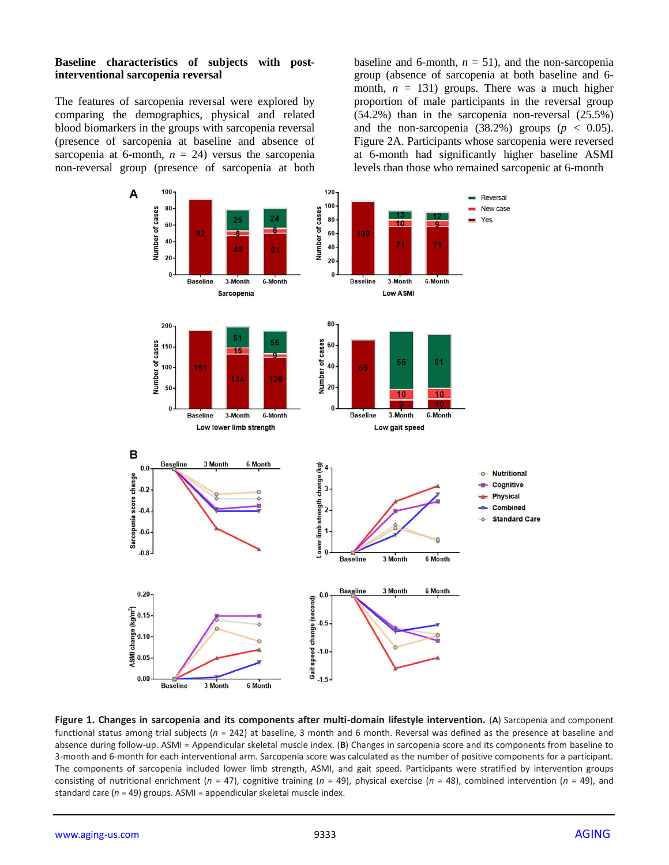#### **Baseline characteristics of subjects with postinterventional sarcopenia reversal**

The features of sarcopenia reversal were explored by comparing the demographics, physical and related blood biomarkers in the groups with sarcopenia reversal (presence of sarcopenia at baseline and absence of sarcopenia at 6-month,  $n = 24$ ) versus the sarcopenia non-reversal group (presence of sarcopenia at both baseline and 6-month,  $n = 51$ ), and the non-sarcopenia group (absence of sarcopenia at both baseline and 6 month,  $n = 131$ ) groups. There was a much higher proportion of male participants in the reversal group (54.2%) than in the sarcopenia non-reversal (25.5%) and the non-sarcopenia  $(38.2%)$  groups  $(p < 0.05)$ . Figure 2A. Participants whose sarcopenia were reversed at 6-month had significantly higher baseline ASMI levels than those who remained sarcopenic at 6-month



**Figure 1. Changes in sarcopenia and its components after multi-domain lifestyle intervention.** (**A**) Sarcopenia and component functional status among trial subjects (*n* = 242) at baseline, 3 month and 6 month. Reversal was defined as the presence at baseline and absence during follow-up. ASMI = Appendicular skeletal muscle index. (**B**) Changes in sarcopenia score and its components from baseline to 3-month and 6-month for each interventional arm. Sarcopenia score was calculated as the number of positive components for a participant. The components of sarcopenia included lower limb strength, ASMI, and gait speed. Participants were stratified by intervention groups consisting of nutritional enrichment (*n* = 47), cognitive training (*n* = 49), physical exercise (*n* = 48), combined intervention (*n* = 49), and standard care (*n* = 49) groups. ASMI = appendicular skeletal muscle index.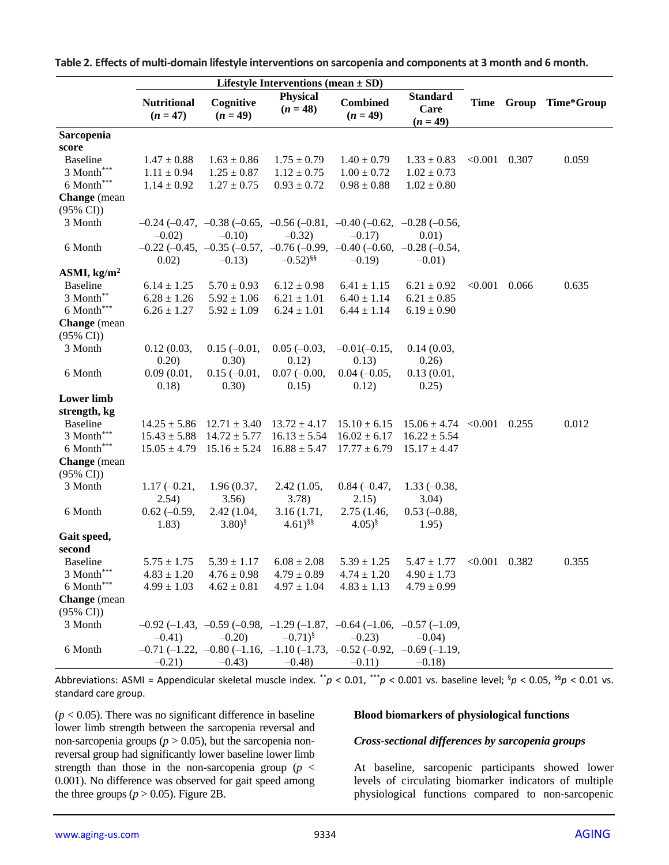|                                     | Lifestyle Interventions (mean $\pm$ SD) |                         |                               |                                                                                                     |                                       |                 |       |            |
|-------------------------------------|-----------------------------------------|-------------------------|-------------------------------|-----------------------------------------------------------------------------------------------------|---------------------------------------|-----------------|-------|------------|
|                                     | <b>Nutritional</b><br>$(n = 47)$        | Cognitive<br>$(n = 49)$ | <b>Physical</b><br>$(n = 48)$ | <b>Combined</b><br>$(n = 49)$                                                                       | <b>Standard</b><br>Care<br>$(n = 49)$ | Time            | Group | Time*Group |
| Sarcopenia                          |                                         |                         |                               |                                                                                                     |                                       |                 |       |            |
| score                               |                                         |                         |                               |                                                                                                     |                                       |                 |       |            |
| <b>Baseline</b>                     | $1.47 \pm 0.88$                         | $1.63 \pm 0.86$         | $1.75 \pm 0.79$               | $1.40 \pm 0.79$                                                                                     | $1.33 \pm 0.83$                       | < 0.001         | 0.307 | 0.059      |
| 3 Month***                          | $1.11 \pm 0.94$                         | $1.25 \pm 0.87$         | $1.12 \pm 0.75$               | $1.00 \pm 0.72$                                                                                     | $1.02 \pm 0.73$                       |                 |       |            |
| 6 Month***                          | $1.14 \pm 0.92$                         | $1.27 \pm 0.75$         | $0.93 \pm 0.72$               | $0.98\pm0.88$                                                                                       | $1.02 \pm 0.80$                       |                 |       |            |
| Change (mean<br>$(95\% \text{ CI})$ |                                         |                         |                               |                                                                                                     |                                       |                 |       |            |
| 3 Month                             |                                         |                         |                               | $-0.24$ ( $-0.47$ , $-0.38$ ( $-0.65$ , $-0.56$ ( $-0.81$ , $-0.40$ ( $-0.62$ , $-0.28$ ( $-0.56$ , |                                       |                 |       |            |
|                                     | $-0.02$                                 | $-0.10$                 | $-0.32$                       | $-0.17$                                                                                             | 0.01)                                 |                 |       |            |
| 6 Month                             |                                         |                         |                               | $-0.22$ ( $-0.45$ , $-0.35$ ( $-0.57$ , $-0.76$ ( $-0.99$ , $-0.40$ ( $-0.60$ , $-0.28$ ( $-0.54$ , |                                       |                 |       |            |
|                                     | 0.02)                                   | $-0.13$                 | $-0.52)^{\frac{8}{9}}$        | $-0.19$                                                                                             | $-0.01$ )                             |                 |       |            |
| ASMI, $\text{kg/m}^2$               |                                         |                         |                               |                                                                                                     |                                       |                 |       |            |
| <b>Baseline</b>                     | $6.14 \pm 1.25$                         | $5.70 \pm 0.93$         | $6.12 \pm 0.98$               | $6.41 \pm 1.15$                                                                                     | $6.21 \pm 0.92$                       | < 0.001         | 0.066 | 0.635      |
| 3 Month**                           | $6.28 \pm 1.26$                         | $5.92 \pm 1.06$         | $6.21 \pm 1.01$               | $6.40 \pm 1.14$                                                                                     | $6.21 \pm 0.85$                       |                 |       |            |
|                                     |                                         |                         |                               |                                                                                                     |                                       |                 |       |            |
| 6 Month***                          | $6.26 \pm 1.27$                         | $5.92 \pm 1.09$         | $6.24 \pm 1.01$               | $6.44 \pm 1.14$                                                                                     | $6.19 \pm 0.90$                       |                 |       |            |
| Change (mean                        |                                         |                         |                               |                                                                                                     |                                       |                 |       |            |
| $(95\% \text{ CI})$                 |                                         |                         |                               |                                                                                                     |                                       |                 |       |            |
| 3 Month                             | 0.12(0.03,                              | $0.15(-0.01,$           | $0.05 (-0.03,$                | $-0.01(-0.15,$                                                                                      | 0.14(0.03,                            |                 |       |            |
|                                     | 0.20)                                   | 0.30)                   | 0.12)                         | 0.13)                                                                                               | 0.26)                                 |                 |       |            |
| 6 Month                             | 0.09(0.01,                              | $0.15(-0.01,$           | $0.07(-0.00,$                 | $0.04 (-0.05,$                                                                                      | 0.13(0.01,                            |                 |       |            |
|                                     | 0.18)                                   | 0.30)                   | 0.15)                         | 0.12)                                                                                               | 0.25)                                 |                 |       |            |
| <b>Lower</b> limb                   |                                         |                         |                               |                                                                                                     |                                       |                 |       |            |
| strength, kg                        |                                         |                         |                               |                                                                                                     |                                       |                 |       |            |
| <b>Baseline</b>                     | $14.25 \pm 5.86$                        | $12.71 \pm 3.40$        | $13.72 \pm 4.17$              | $15.10 \pm 6.15$                                                                                    | $15.06 \pm 4.74$ < 0.001              |                 | 0.255 | 0.012      |
| $3$ Month $\hspace{-1.5mm}^{***}$   | $15.43 \pm 5.88$                        | $14.72 \pm 5.77$        | $16.13 \pm 5.54$              | $16.02 \pm 6.17$                                                                                    | $16.22 \pm 5.54$                      |                 |       |            |
| 6 Month***                          | $15.05 \pm 4.79$                        | $15.16 \pm 5.24$        | $16.88 \pm 5.47$              | $17.77 \pm 6.79$                                                                                    | $15.17 \pm 4.47$                      |                 |       |            |
| <b>Change</b> (mean                 |                                         |                         |                               |                                                                                                     |                                       |                 |       |            |
| $(95\% \text{ CI})$                 |                                         |                         |                               |                                                                                                     |                                       |                 |       |            |
| 3 Month                             | $1.17(-0.21,$                           | 1.96(0.37,              | 2.42(1.05,                    | $0.84 (-0.47,$                                                                                      | $1.33(-0.38,$                         |                 |       |            |
|                                     | 2.54)                                   | 3.56)                   | 3.78)                         | 2.15)                                                                                               | 3.04)                                 |                 |       |            |
| 6 Month                             | $0.62 (-0.59,$                          | 2.42 (1.04,             | 3.16(1.71,                    | 2.75 (1.46,                                                                                         | $0.53(-0.88,$                         |                 |       |            |
|                                     | 1.83)                                   | $(3.80)^{\frac{5}{3}}$  | $(4.61)^{\S\$                 | $(4.05)^{\$}$                                                                                       | 1.95)                                 |                 |       |            |
| Gait speed,                         |                                         |                         |                               |                                                                                                     |                                       |                 |       |            |
| second                              |                                         |                         |                               |                                                                                                     |                                       |                 |       |            |
| <b>Baseline</b>                     | $5.75 \pm 1.75$                         | $5.39 \pm 1.17$         | $6.08 \pm 2.08$               | $5.39 \pm 1.25$                                                                                     | $5.47 \pm 1.77$                       | $< 0.001$ 0.382 |       | 0.355      |
| 3 Month***                          | $4.83 \pm 1.20$                         | $4.76 \pm 0.98$         | $4.79 \pm 0.89$               | $4.74 \pm 1.20$                                                                                     | $4.90 \pm 1.73$                       |                 |       |            |
| 6 Month***                          | $4.99 \pm 1.03$                         | $4.62 \pm 0.81$         | $4.97 \pm 1.04$               | $4.83 \pm 1.13$                                                                                     | $4.79 \pm 0.99$                       |                 |       |            |
| Change (mean                        |                                         |                         |                               |                                                                                                     |                                       |                 |       |            |
| $(95\% \text{ CI})$                 |                                         |                         |                               |                                                                                                     |                                       |                 |       |            |
| 3 Month                             |                                         |                         |                               | $-0.92$ (-1.43, -0.59 (-0.98, -1.29 (-1.87, -0.64 (-1.06, -0.57 (-1.09,                             |                                       |                 |       |            |
|                                     | $-0.41)$                                | $-0.20$                 | $-0.71)$ <sup>§</sup>         | $-0.23$                                                                                             | $-0.04$ )                             |                 |       |            |
| 6 Month                             |                                         |                         |                               | $-0.71$ (-1.22, -0.80 (-1.16, -1.10 (-1.73, -0.52 (-0.92, -0.69 (-1.19,                             |                                       |                 |       |            |
|                                     | $-0.21$ )                               | $-0.43$                 | $-0.48$ )                     | $-0.11)$                                                                                            | $-0.18$                               |                 |       |            |
|                                     |                                         |                         |                               |                                                                                                     |                                       |                 |       |            |

**Table 2. Effects of multi-domain lifestyle interventions on sarcopenia and components at 3 month and 6 month.**

Abbreviations: ASMI = Appendicular skeletal muscle index. \*\**p* < 0.01, \*\*\**p* < 0.001 vs. baseline level; §*p* < 0.05, §§*p* < 0.01 vs. standard care group.

 $(p < 0.05)$ . There was no significant difference in baseline lower limb strength between the sarcopenia reversal and non-sarcopenia groups ( $p > 0.05$ ), but the sarcopenia nonreversal group had significantly lower baseline lower limb strength than those in the non-sarcopenia group  $(p \lt p)$ 0.001). No difference was observed for gait speed among the three groups ( $p > 0.05$ ). Figure 2B.

#### **Blood biomarkers of physiological functions**

#### *Cross-sectional differences by sarcopenia groups*

At baseline, sarcopenic participants showed lower levels of circulating biomarker indicators of multiple physiological functions compared to non-sarcopenic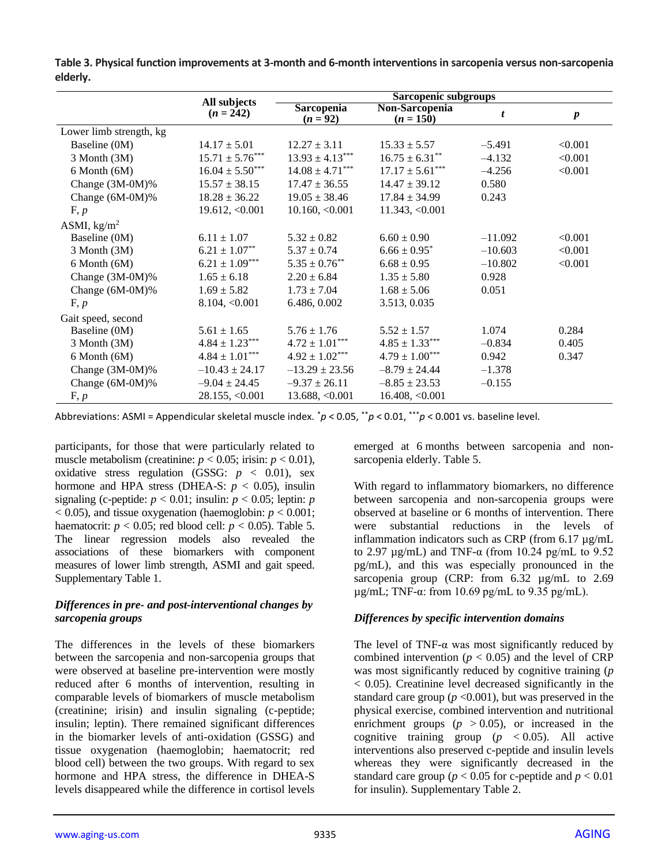|                         |                             | Sarcopenic subgroups     |                               |                  |                  |  |  |  |
|-------------------------|-----------------------------|--------------------------|-------------------------------|------------------|------------------|--|--|--|
|                         | All subjects<br>$(n = 242)$ | Sarcopenia<br>$(n = 92)$ | Non-Sarcopenia<br>$(n = 150)$ | $\boldsymbol{t}$ | $\boldsymbol{p}$ |  |  |  |
| Lower limb strength, kg |                             |                          |                               |                  |                  |  |  |  |
| Baseline (0M)           | $14.17 \pm 5.01$            | $12.27 \pm 3.11$         | $15.33 \pm 5.57$              | $-5.491$         | < 0.001          |  |  |  |
| 3 Month (3M)            | $15.71 \pm 5.76***$         | $13.93 \pm 4.13***$      | $16.75 \pm 6.31***$           | $-4.132$         | < 0.001          |  |  |  |
| $6$ Month $(6M)$        | $16.04 \pm 5.50***$         | $14.08 \pm 4.71***$      | $17.17 \pm 5.61***$           | $-4.256$         | < 0.001          |  |  |  |
| Change (3M-0M)%         | $15.57 \pm 38.15$           | $17.47 \pm 36.55$        | $14.47 \pm 39.12$             | 0.580            |                  |  |  |  |
| Change (6M-0M)%         | $18.28 \pm 36.22$           | $19.05 \pm 38.46$        | $17.84 \pm 34.99$             | 0.243            |                  |  |  |  |
| F, p                    | 19.612, < 0.001             | 10.160, <0.001           | 11.343, < 0.001               |                  |                  |  |  |  |
| ASMI, $\text{kg/m}^2$   |                             |                          |                               |                  |                  |  |  |  |
| Baseline (0M)           | $6.11 \pm 1.07$             | $5.32 \pm 0.82$          | $6.60 \pm 0.90$               | $-11.092$        | < 0.001          |  |  |  |
| 3 Month (3M)            | $6.21 \pm 1.07^{**}$        | $5.37 \pm 0.74$          | $6.66 \pm 0.95^*$             | $-10.603$        | < 0.001          |  |  |  |
| $6$ Month $(6M)$        | $6.21 \pm 1.09***$          | $5.35 \pm 0.76^{**}$     | $6.68 \pm 0.95$               | $-10.802$        | < 0.001          |  |  |  |
| Change (3M-0M)%         | $1.65 \pm 6.18$             | $2.20 \pm 6.84$          | $1.35 \pm 5.80$               | 0.928            |                  |  |  |  |
| Change (6M-0M)%         | $1.69 \pm 5.82$             | $1.73 \pm 7.04$          | $1.68 \pm 5.06$               | 0.051            |                  |  |  |  |
| F, p                    | 8.104, <0.001               | 6.486, 0.002             | 3.513, 0.035                  |                  |                  |  |  |  |
| Gait speed, second      |                             |                          |                               |                  |                  |  |  |  |
| Baseline (0M)           | $5.61 \pm 1.65$             | $5.76 \pm 1.76$          | $5.52 \pm 1.57$               | 1.074            | 0.284            |  |  |  |
| 3 Month (3M)            | $4.84 \pm 1.23***$          | $4.72 \pm 1.01***$       | $4.85 \pm 1.33***$            | $-0.834$         | 0.405            |  |  |  |
| $6$ Month $(6M)$        | $4.84 \pm 1.01***$          | $4.92 \pm 1.02***$       | $4.79 \pm 1.00***$            | 0.942            | 0.347            |  |  |  |
| Change (3M-0M)%         | $-10.43 \pm 24.17$          | $-13.29 \pm 23.56$       | $-8.79 \pm 24.44$             | $-1.378$         |                  |  |  |  |
| Change (6M-0M)%         | $-9.04 \pm 24.45$           | $-9.37 \pm 26.11$        | $-8.85 \pm 23.53$             | $-0.155$         |                  |  |  |  |
| F, p                    | 28.155, <0.001              | 13.688, <0.001           | 16.408, <0.001                |                  |                  |  |  |  |

**Table 3. Physical function improvements at 3-month and 6-month interventions in sarcopenia versus non-sarcopenia elderly.**

Abbreviations: ASMI = Appendicular skeletal muscle index. \**p* < 0.05, \*\**p* < 0.01, \*\*\**p* < 0.001 vs. baseline level.

participants, for those that were particularly related to muscle metabolism (creatinine:  $p < 0.05$ ; irisin:  $p < 0.01$ ), oxidative stress regulation (GSSG:  $p < 0.01$ ), sex hormone and HPA stress (DHEA-S:  $p < 0.05$ ), insulin signaling (c-peptide:  $p < 0.01$ ; insulin:  $p < 0.05$ ; leptin: *p*  $(0.05)$ , and tissue oxygenation (haemoglobin:  $p < 0.001$ ; haematocrit:  $p < 0.05$ ; red blood cell:  $p < 0.05$ ). Table 5. The linear regression models also revealed the associations of these biomarkers with component measures of lower limb strength, ASMI and gait speed. Supplementary Table 1.

## *Differences in pre- and post-interventional changes by sarcopenia groups*

The differences in the levels of these biomarkers between the sarcopenia and non-sarcopenia groups that were observed at baseline pre-intervention were mostly reduced after 6 months of intervention, resulting in comparable levels of biomarkers of muscle metabolism (creatinine; irisin) and insulin signaling (c-peptide; insulin; leptin). There remained significant differences in the biomarker levels of anti-oxidation (GSSG) and tissue oxygenation (haemoglobin; haematocrit; red blood cell) between the two groups. With regard to sex hormone and HPA stress, the difference in DHEA-S levels disappeared while the difference in cortisol levels

emerged at 6 months between sarcopenia and nonsarcopenia elderly. Table 5.

With regard to inflammatory biomarkers, no difference between sarcopenia and non-sarcopenia groups were observed at baseline or 6 months of intervention. There were substantial reductions in the levels of inflammation indicators such as CRP (from 6.17 µg/mL to 2.97  $\mu$ g/mL) and TNF-α (from 10.24 pg/mL to 9.52 pg/mL), and this was especially pronounced in the sarcopenia group (CRP: from 6.32  $\mu$ g/mL to 2.69  $\mu$ g/mL; TNF- $\alpha$ : from 10.69 pg/mL to 9.35 pg/mL).

# *Differences by specific intervention domains*

The level of TNF- $\alpha$  was most significantly reduced by combined intervention ( $p < 0.05$ ) and the level of CRP was most significantly reduced by cognitive training (*p* < 0.05). Creatinine level decreased significantly in the standard care group ( $p < 0.001$ ), but was preserved in the physical exercise, combined intervention and nutritional enrichment groups  $(p > 0.05)$ , or increased in the cognitive training group  $(p \lt 0.05)$ . All active interventions also preserved c-peptide and insulin levels whereas they were significantly decreased in the standard care group ( $p < 0.05$  for c-peptide and  $p < 0.01$ for insulin). Supplementary Table 2.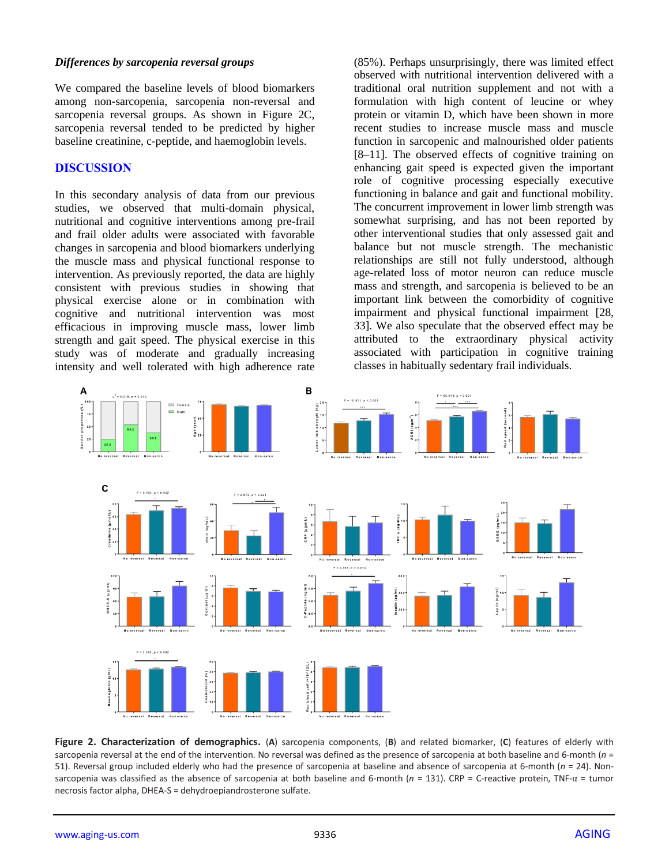#### *Differences by sarcopenia reversal groups*

We compared the baseline levels of blood biomarkers among non-sarcopenia, sarcopenia non-reversal and sarcopenia reversal groups. As shown in Figure 2C, sarcopenia reversal tended to be predicted by higher baseline creatinine, c-peptide, and haemoglobin levels.

#### **DISCUSSION**

In this secondary analysis of data from our previous studies, we observed that multi-domain physical, nutritional and cognitive interventions among pre-frail and frail older adults were associated with favorable changes in sarcopenia and blood biomarkers underlying the muscle mass and physical functional response to intervention. As previously reported, the data are highly consistent with previous studies in showing that physical exercise alone or in combination with cognitive and nutritional intervention was most efficacious in improving muscle mass, lower limb strength and gait speed. The physical exercise in this study was of moderate and gradually increasing intensity and well tolerated with high adherence rate

(85%). Perhaps unsurprisingly, there was limited effect observed with nutritional intervention delivered with a traditional oral nutrition supplement and not with a formulation with high content of leucine or whey protein or vitamin D, which have been shown in more recent studies to increase muscle mass and muscle function in sarcopenic and malnourished older patients [8–11]. The observed effects of cognitive training on enhancing gait speed is expected given the important role of cognitive processing especially executive functioning in balance and gait and functional mobility. The concurrent improvement in lower limb strength was somewhat surprising, and has not been reported by other interventional studies that only assessed gait and balance but not muscle strength. The mechanistic relationships are still not fully understood, although age-related loss of motor neuron can reduce muscle mass and strength, and sarcopenia is believed to be an important link between the comorbidity of cognitive impairment and physical functional impairment [28, 33]. We also speculate that the observed effect may be attributed to the extraordinary physical activity associated with participation in cognitive training classes in habitually sedentary frail individuals.



**Figure 2. Characterization of demographics.** (**A**) sarcopenia components, (**B**) and related biomarker, (**C**) features of elderly with sarcopenia reversal at the end of the intervention. No reversal was defined as the presence of sarcopenia at both baseline and 6-month (*n* = 51). Reversal group included elderly who had the presence of sarcopenia at baseline and absence of sarcopenia at 6-month (*n* = 24). Nonsarcopenia was classified as the absence of sarcopenia at both baseline and 6-month (*n* = 131). CRP = C-reactive protein, TNF-α = tumor necrosis factor alpha, DHEA-S = dehydroepiandrosterone sulfate.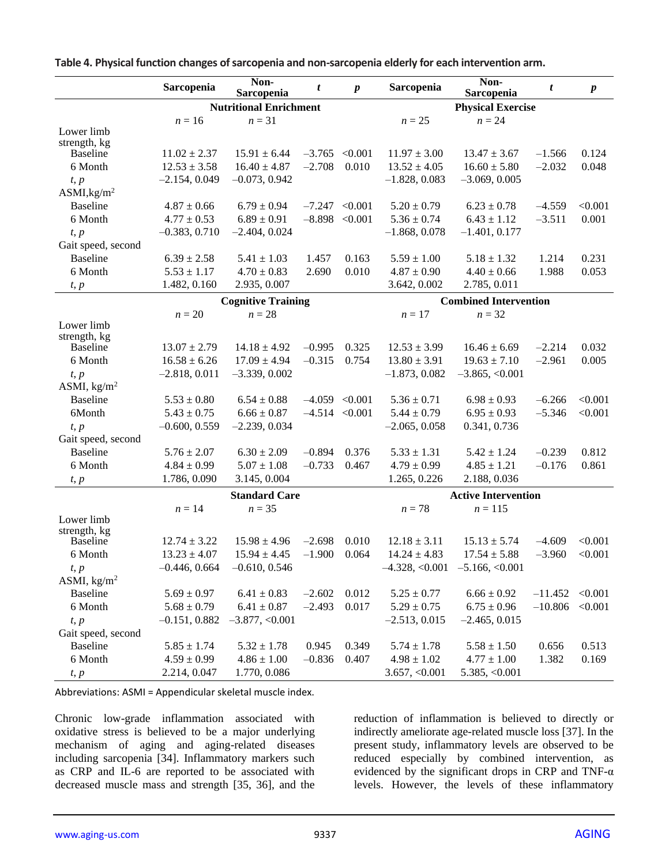|                         | Sarcopenia       | Non-<br>Sarcopenia            | t                | $\boldsymbol{p}$ | Sarcopenia       | Non-<br>Sarcopenia           | t         | $\boldsymbol{p}$ |
|-------------------------|------------------|-------------------------------|------------------|------------------|------------------|------------------------------|-----------|------------------|
|                         |                  | <b>Nutritional Enrichment</b> |                  |                  |                  | <b>Physical Exercise</b>     |           |                  |
|                         | $n=16$           | $n = 31$                      |                  |                  | $n = 25$         | $n = 24$                     |           |                  |
| Lower limb              |                  |                               |                  |                  |                  |                              |           |                  |
| strength, kg            |                  |                               |                  |                  |                  |                              |           |                  |
| <b>Baseline</b>         | $11.02 \pm 2.37$ | $15.91 \pm 6.44$              | $-3.765$ < 0.001 |                  | $11.97 \pm 3.00$ | $13.47 \pm 3.67$             | $-1.566$  | 0.124            |
| 6 Month                 | $12.53 \pm 3.58$ | $16.40 \pm 4.87$              | $-2.708$         | 0.010            | $13.52 \pm 4.05$ | $16.60 \pm 5.80$             | $-2.032$  | 0.048            |
| t, p                    | $-2.154, 0.049$  | $-0.073, 0.942$               |                  |                  | $-1.828, 0.083$  | $-3.069, 0.005$              |           |                  |
| ASMI, kg/m <sup>2</sup> |                  |                               |                  |                  |                  |                              |           |                  |
| <b>Baseline</b>         | $4.87 \pm 0.66$  | $6.79 \pm 0.94$               | $-7.247 < 0.001$ |                  | $5.20 \pm 0.79$  | $6.23 \pm 0.78$              | $-4.559$  | < 0.001          |
| 6 Month                 | $4.77 \pm 0.53$  | $6.89 \pm 0.91$               | $-8.898 < 0.001$ |                  | $5.36 \pm 0.74$  | $6.43 \pm 1.12$              | $-3.511$  | 0.001            |
| t, p                    | $-0.383, 0.710$  | $-2.404, 0.024$               |                  |                  | $-1.868, 0.078$  | $-1.401, 0.177$              |           |                  |
| Gait speed, second      |                  |                               |                  |                  |                  |                              |           |                  |
| <b>Baseline</b>         | $6.39 \pm 2.58$  | $5.41 \pm 1.03$               | 1.457            | 0.163            | $5.59 \pm 1.00$  | $5.18 \pm 1.32$              | 1.214     | 0.231            |
| 6 Month                 | $5.53 \pm 1.17$  | $4.70 \pm 0.83$               | 2.690            | 0.010            | $4.87 \pm 0.90$  | $4.40 \pm 0.66$              | 1.988     | 0.053            |
| t, p                    | 1.482, 0.160     | 2.935, 0.007                  |                  |                  | 3.642, 0.002     | 2.785, 0.011                 |           |                  |
|                         |                  | <b>Cognitive Training</b>     |                  |                  |                  | <b>Combined Intervention</b> |           |                  |
|                         | $n=20$           | $n=28$                        |                  |                  | $n=17$           | $n = 32$                     |           |                  |
| Lower limb              |                  |                               |                  |                  |                  |                              |           |                  |
| strength, kg            |                  |                               |                  |                  |                  |                              |           |                  |
| <b>Baseline</b>         | $13.07 \pm 2.79$ | $14.18 \pm 4.92$              | $-0.995$         | 0.325            | $12.53 \pm 3.99$ | $16.46 \pm 6.69$             | $-2.214$  | 0.032            |
| 6 Month                 | $16.58 \pm 6.26$ | $17.09 \pm 4.94$              | $-0.315$         | 0.754            | $13.80 \pm 3.91$ | $19.63 \pm 7.10$             | $-2.961$  | 0.005            |
| t, p                    | $-2.818, 0.011$  | $-3.339, 0.002$               |                  |                  | $-1.873, 0.082$  | $-3.865, <0.001$             |           |                  |
| ASMI, $\text{kg/m}^2$   |                  |                               |                  |                  |                  |                              |           |                  |
| <b>Baseline</b>         | $5.53 \pm 0.80$  | $6.54 \pm 0.88$               | $-4.059$ < 0.001 |                  | $5.36 \pm 0.71$  | $6.98 \pm 0.93$              | $-6.266$  | < 0.001          |
| 6Month                  | $5.43 \pm 0.75$  | $6.66 \pm 0.87$               | $-4.514 < 0.001$ |                  | $5.44 \pm 0.79$  | $6.95 \pm 0.93$              | $-5.346$  | < 0.001          |
| t, p                    | $-0.600, 0.559$  | $-2.239, 0.034$               |                  |                  | $-2.065, 0.058$  | 0.341, 0.736                 |           |                  |
| Gait speed, second      |                  |                               |                  |                  |                  |                              |           |                  |
| <b>Baseline</b>         | $5.76 \pm 2.07$  | $6.30 \pm 2.09$               | $-0.894$         | 0.376            | $5.33 \pm 1.31$  | $5.42 \pm 1.24$              | $-0.239$  | 0.812            |
| 6 Month                 | $4.84 \pm 0.99$  | $5.07 \pm 1.08$               | $-0.733$         | 0.467            | $4.79 \pm 0.99$  | $4.85 \pm 1.21$              | $-0.176$  | 0.861            |
| t, p                    | 1.786, 0.090     | 3.145, 0.004                  |                  |                  | 1.265, 0.226     | 2.188, 0.036                 |           |                  |
|                         |                  | <b>Standard Care</b>          |                  |                  |                  | <b>Active Intervention</b>   |           |                  |
|                         | $n = 14$         | $n = 35$                      |                  |                  | $n=78$           | $n = 115$                    |           |                  |
| Lower limb              |                  |                               |                  |                  |                  |                              |           |                  |
| strength, kg            |                  |                               |                  |                  |                  |                              |           |                  |
| <b>Baseline</b>         | $12.74 \pm 3.22$ | $15.98 \pm 4.96$              | $-2.698$         | 0.010            | $12.18 \pm 3.11$ | $15.13 \pm 5.74$             | $-4.609$  | < 0.001          |
| 6 Month                 | $13.23 \pm 4.07$ | $15.94 \pm 4.45$              | $-1.900$         | 0.064            | $14.24 \pm 4.83$ | $17.54 \pm 5.88$             | $-3.960$  | < 0.001          |
| t, p                    | $-0.446, 0.664$  | $-0.610, 0.546$               |                  |                  | 4.328, <0.001    | $-5.166, <0.001$             |           |                  |
| ASMI, $\text{kg/m}^2$   |                  |                               |                  |                  |                  |                              |           |                  |
| <b>Baseline</b>         | $5.69 \pm 0.97$  | $6.41 \pm 0.83$               | $-2.602$         | 0.012            | $5.25 \pm 0.77$  | $6.66 \pm 0.92$              | $-11.452$ | < 0.001          |
| 6 Month                 | $5.68 \pm 0.79$  | $6.41 \pm 0.87$               | $-2.493$         | 0.017            | $5.29 \pm 0.75$  | $6.75 \pm 0.96$              | $-10.806$ | < 0.001          |
| t, p                    | $-0.151, 0.882$  | $-3.877, < 0.001$             |                  |                  | $-2.513, 0.015$  | $-2.465, 0.015$              |           |                  |
| Gait speed, second      |                  |                               |                  |                  |                  |                              |           |                  |
| <b>Baseline</b>         | $5.85 \pm 1.74$  | $5.32 \pm 1.78$               | 0.945            | 0.349            | $5.74 \pm 1.78$  | $5.58 \pm 1.50$              | 0.656     | 0.513            |
| 6 Month                 | $4.59 \pm 0.99$  | $4.86 \pm 1.00$               | $-0.836$         | 0.407            | $4.98 \pm 1.02$  | $4.77 \pm 1.00$              | 1.382     | 0.169            |
| t, p                    | 2.214, 0.047     | 1.770, 0.086                  |                  |                  | 3.657, <0.001    | 5.385, <0.001                |           |                  |

**Table 4. Physical function changes of sarcopenia and non-sarcopenia elderly for each intervention arm.**

Abbreviations: ASMI = Appendicular skeletal muscle index.

Chronic low-grade inflammation associated with oxidative stress is believed to be a major underlying mechanism of aging and aging-related diseases including sarcopenia [34]. Inflammatory markers such as CRP and IL-6 are reported to be associated with decreased muscle mass and strength [35, 36], and the

reduction of inflammation is believed to directly or indirectly ameliorate age-related muscle loss [37]. In the present study, inflammatory levels are observed to be reduced especially by combined intervention, as evidenced by the significant drops in CRP and TNF- $\alpha$ levels. However, the levels of these inflammatory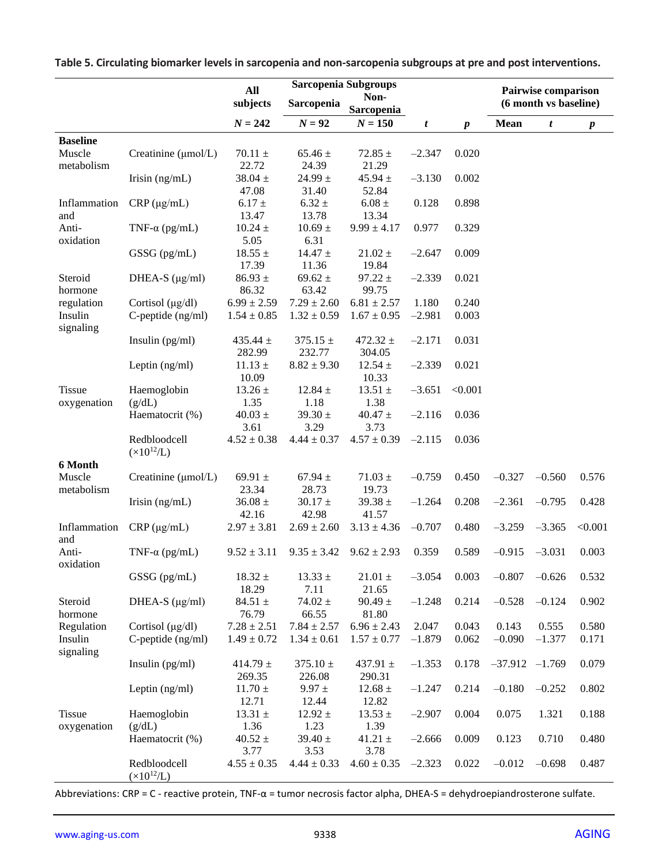|                              |                                       | All                    | Sarcopenia Subgroups             |                        |          |                  |                       | Pairwise comparison |                  |  |
|------------------------------|---------------------------------------|------------------------|----------------------------------|------------------------|----------|------------------|-----------------------|---------------------|------------------|--|
|                              |                                       | subjects               | Non-<br>Sarcopenia<br>Sarcopenia |                        |          |                  | (6 month vs baseline) |                     |                  |  |
|                              |                                       | $N = 242$              | $N = 92$                         | $N = 150$              | t        | $\boldsymbol{p}$ | <b>Mean</b>           | t                   | $\boldsymbol{p}$ |  |
| <b>Baseline</b>              |                                       |                        |                                  |                        |          |                  |                       |                     |                  |  |
| Muscle<br>metabolism         | Creatinine (µmol/L)                   | $70.11 \pm$<br>22.72   | $65.46 \pm$<br>24.39             | $72.85 \pm$<br>21.29   | $-2.347$ | 0.020            |                       |                     |                  |  |
|                              | Irisin $(ng/mL)$                      | $38.04 \pm$<br>47.08   | $24.99 \pm$<br>31.40             | 45.94 $\pm$<br>52.84   | $-3.130$ | 0.002            |                       |                     |                  |  |
| Inflammation<br>and          | $CRP(\mu g/mL)$                       | $6.17 \pm$<br>13.47    | $6.32 \pm$<br>13.78              | $6.08 \pm$<br>13.34    | 0.128    | 0.898            |                       |                     |                  |  |
| Anti-<br>oxidation           | TNF- $\alpha$ (pg/mL)                 | $10.24 \pm$<br>5.05    | $10.69 \pm$<br>6.31              | $9.99 \pm 4.17$        | 0.977    | 0.329            |                       |                     |                  |  |
|                              | GSSG (pg/mL)                          | $18.55 \pm$<br>17.39   | $14.47 \pm$<br>11.36             | $21.02 \pm$<br>19.84   | $-2.647$ | 0.009            |                       |                     |                  |  |
| Steroid<br>hormone           | DHEA-S $(\mu g/ml)$                   | $86.93 \pm$<br>86.32   | $69.62 \pm$<br>63.42             | $97.22 \pm$<br>99.75   | $-2.339$ | 0.021            |                       |                     |                  |  |
| regulation                   | Cortisol $(\mu g/dl)$                 | $6.99 \pm 2.59$        | $7.29 \pm 2.60$                  | $6.81 \pm 2.57$        | 1.180    | 0.240            |                       |                     |                  |  |
| Insulin<br>signaling         | $C$ -peptide $(ng/ml)$                | $1.54 \pm 0.85$        | $1.32 \pm 0.59$                  | $1.67 \pm 0.95$        | $-2.981$ | 0.003            |                       |                     |                  |  |
|                              | Insulin $(pg/ml)$                     | 435.44 $\pm$<br>282.99 | $375.15 \pm$<br>232.77           | 472.32 $\pm$<br>304.05 | $-2.171$ | 0.031            |                       |                     |                  |  |
|                              | Leptin (ng/ml)                        | $11.13 \pm$<br>10.09   | $8.82 \pm 9.30$                  | $12.54 \pm$<br>10.33   | $-2.339$ | 0.021            |                       |                     |                  |  |
| <b>Tissue</b><br>oxygenation | Haemoglobin<br>(g/dL)                 | $13.26 \pm$<br>1.35    | 12.84 $\pm$<br>1.18              | $13.51 \pm$<br>1.38    | $-3.651$ | < 0.001          |                       |                     |                  |  |
|                              | Haematocrit (%)                       | $40.03 \pm$<br>3.61    | $39.30 \pm$<br>3.29              | $40.47 \pm$<br>3.73    | $-2.116$ | 0.036            |                       |                     |                  |  |
|                              | Redbloodcell<br>$(\times 10^{12}$ /L) | $4.52\pm0.38$          | $4.44 \pm 0.37$                  | $4.57 \pm 0.39$        | $-2.115$ | 0.036            |                       |                     |                  |  |
| 6 Month                      |                                       |                        |                                  |                        |          |                  |                       |                     |                  |  |
| Muscle<br>metabolism         | Creatinine (µmol/L)                   | 69.91 $\pm$<br>23.34   | 67.94 $\pm$<br>28.73             | $71.03 \pm$<br>19.73   | $-0.759$ | 0.450            | $-0.327$              | $-0.560$            | 0.576            |  |
|                              | Irisin $(ng/mL)$                      | $36.08 \pm$<br>42.16   | $30.17 \pm$<br>42.98             | $39.38 \pm$<br>41.57   | $-1.264$ | 0.208            | $-2.361$              | $-0.795$            | 0.428            |  |
| Inflammation<br>and          | $CRP(\mu g/mL)$                       | $2.97 \pm 3.81$        | $2.69 \pm 2.60$                  | $3.13 \pm 4.36$        | $-0.707$ | 0.480            | $-3.259$              | $-3.365$            | < 0.001          |  |
| Anti-<br>oxidation           | TNF- $\alpha$ (pg/mL)                 | $9.52 \pm 3.11$        | $9.35 \pm 3.42$                  | $9.62 \pm 2.93$        | 0.359    | 0.589            | $-0.915$              | $-3.031$            | 0.003            |  |
|                              | GSSG (pg/mL)                          | $18.32 \pm$<br>18.29   | $13.33 \pm$<br>7.11              | $21.01 \pm$<br>21.65   | $-3.054$ | 0.003            | $-0.807$              | $-0.626$            | 0.532            |  |
| Steroid<br>hormone           | DHEA-S $(\mu g/ml)$                   | 84.51 $\pm$<br>76.79   | 74.02 $\pm$<br>66.55             | $90.49 \pm$<br>81.80   | $-1.248$ | 0.214            | $-0.528$              | $-0.124$            | 0.902            |  |
| Regulation                   | Cortisol $(\mu g/dl)$                 | $7.28 \pm 2.51$        | $7.84 \pm 2.57$                  | $6.96 \pm 2.43$        | 2.047    | 0.043            | 0.143                 | 0.555               | 0.580            |  |
| Insulin<br>signaling         | C-peptide (ng/ml)                     | $1.49 \pm 0.72$        | $1.34 \pm 0.61$                  | $1.57 \pm 0.77$        | $-1.879$ | 0.062            | $-0.090$              | $-1.377$            | 0.171            |  |
|                              | Insulin $(pg/ml)$                     | 414.79 $\pm$<br>269.35 | 375.10 $\pm$<br>226.08           | 437.91 $\pm$<br>290.31 | $-1.353$ | 0.178            | $-37.912$ $-1.769$    |                     | 0.079            |  |
|                              | Leptin (ng/ml)                        | $11.70 \pm$<br>12.71   | $9.97 \pm$<br>12.44              | $12.68 \pm$<br>12.82   | $-1.247$ | 0.214            | $-0.180$              | $-0.252$            | 0.802            |  |
| Tissue<br>oxygenation        | Haemoglobin<br>(g/dL)                 | $13.31 \pm$<br>1.36    | $12.92 \pm$<br>1.23              | $13.53 \pm$<br>1.39    | $-2.907$ | 0.004            | 0.075                 | 1.321               | 0.188            |  |
|                              | Haematocrit (%)                       | $40.52 \pm$<br>3.77    | $39.40 \pm$<br>3.53              | 41.21 $\pm$<br>3.78    | $-2.666$ | 0.009            | 0.123                 | 0.710               | 0.480            |  |
|                              | Redbloodcell<br>$(x10^{12}/L)$        | $4.55 \pm 0.35$        | $4.44 \pm 0.33$                  | $4.60 \pm 0.35$        | $-2.323$ | 0.022            | $-0.012$              | $-0.698$            | 0.487            |  |

**Table 5. Circulating biomarker levels in sarcopenia and non-sarcopenia subgroups at pre and post interventions.**

Abbreviations: CRP = C - reactive protein, TNF-α = tumor necrosis factor alpha, DHEA-S = dehydroepiandrosterone sulfate.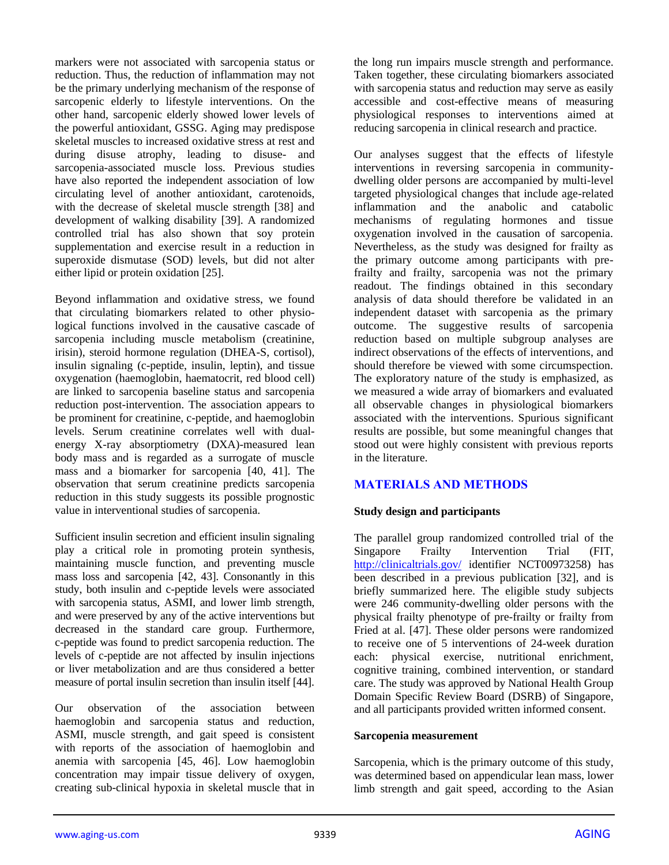markers were not associated with sarcopenia status or reduction. Thus, the reduction of inflammation may not be the primary underlying mechanism of the response of sarcopenic elderly to lifestyle interventions. On the other hand, sarcopenic elderly showed lower levels of the powerful antioxidant, GSSG. Aging may predispose skeletal muscles to increased oxidative stress at rest and during disuse atrophy, leading to disuse- and sarcopenia-associated muscle loss. Previous studies have also reported the independent association of low circulating level of another antioxidant, carotenoids, with the decrease of skeletal muscle strength [38] and development of walking disability [39]. A randomized controlled trial has also shown that soy protein supplementation and exercise result in a reduction in superoxide dismutase (SOD) levels, but did not alter either lipid or protein oxidation [25].

Beyond inflammation and oxidative stress, we found that circulating biomarkers related to other physiological functions involved in the causative cascade of sarcopenia including muscle metabolism (creatinine, irisin), steroid hormone regulation (DHEA-S, cortisol), insulin signaling (c-peptide, insulin, leptin), and tissue oxygenation (haemoglobin, haematocrit, red blood cell) are linked to sarcopenia baseline status and sarcopenia reduction post-intervention. The association appears to be prominent for creatinine, c-peptide, and haemoglobin levels. Serum creatinine correlates well with dualenergy X-ray absorptiometry (DXA)-measured lean body mass and is regarded as a surrogate of muscle mass and a biomarker for sarcopenia [40, 41]. The observation that serum creatinine predicts sarcopenia reduction in this study suggests its possible prognostic value in interventional studies of sarcopenia.

Sufficient insulin secretion and efficient insulin signaling play a critical role in promoting protein synthesis, maintaining muscle function, and preventing muscle mass loss and sarcopenia [42, 43]. Consonantly in this study, both insulin and c-peptide levels were associated with sarcopenia status, ASMI, and lower limb strength, and were preserved by any of the active interventions but decreased in the standard care group. Furthermore, c-peptide was found to predict sarcopenia reduction. The levels of c-peptide are not affected by insulin injections or liver metabolization and are thus considered a better measure of portal insulin secretion than insulin itself [44].

Our observation of the association between haemoglobin and sarcopenia status and reduction, ASMI, muscle strength, and gait speed is consistent with reports of the association of haemoglobin and anemia with sarcopenia [45, 46]. Low haemoglobin concentration may impair tissue delivery of oxygen, creating sub-clinical hypoxia in skeletal muscle that in

the long run impairs muscle strength and performance. Taken together, these circulating biomarkers associated with sarcopenia status and reduction may serve as easily accessible and cost-effective means of measuring physiological responses to interventions aimed at reducing sarcopenia in clinical research and practice.

Our analyses suggest that the effects of lifestyle interventions in reversing sarcopenia in communitydwelling older persons are accompanied by multi-level targeted physiological changes that include age-related inflammation and the anabolic and catabolic mechanisms of regulating hormones and tissue oxygenation involved in the causation of sarcopenia. Nevertheless, as the study was designed for frailty as the primary outcome among participants with prefrailty and frailty, sarcopenia was not the primary readout. The findings obtained in this secondary analysis of data should therefore be validated in an independent dataset with sarcopenia as the primary outcome. The suggestive results of sarcopenia reduction based on multiple subgroup analyses are indirect observations of the effects of interventions, and should therefore be viewed with some circumspection. The exploratory nature of the study is emphasized, as we measured a wide array of biomarkers and evaluated all observable changes in physiological biomarkers associated with the interventions. Spurious significant results are possible, but some meaningful changes that stood out were highly consistent with previous reports in the literature.

# **MATERIALS AND METHODS**

## **Study design and participants**

The parallel group randomized controlled trial of the Singapore Frailty Intervention Trial (FIT, <http://clinicaltrials.gov/> identifier NCT00973258) has been described in a previous publication [32], and is briefly summarized here. The eligible study subjects were 246 community-dwelling older persons with the physical frailty phenotype of pre-frailty or frailty from Fried at al. [47]. These older persons were randomized to receive one of 5 interventions of 24-week duration each: physical exercise, nutritional enrichment, cognitive training, combined intervention, or standard care. The study was approved by National Health Group Domain Specific Review Board (DSRB) of Singapore, and all participants provided written informed consent.

#### **Sarcopenia measurement**

Sarcopenia, which is the primary outcome of this study, was determined based on appendicular lean mass, lower limb strength and gait speed, according to the Asian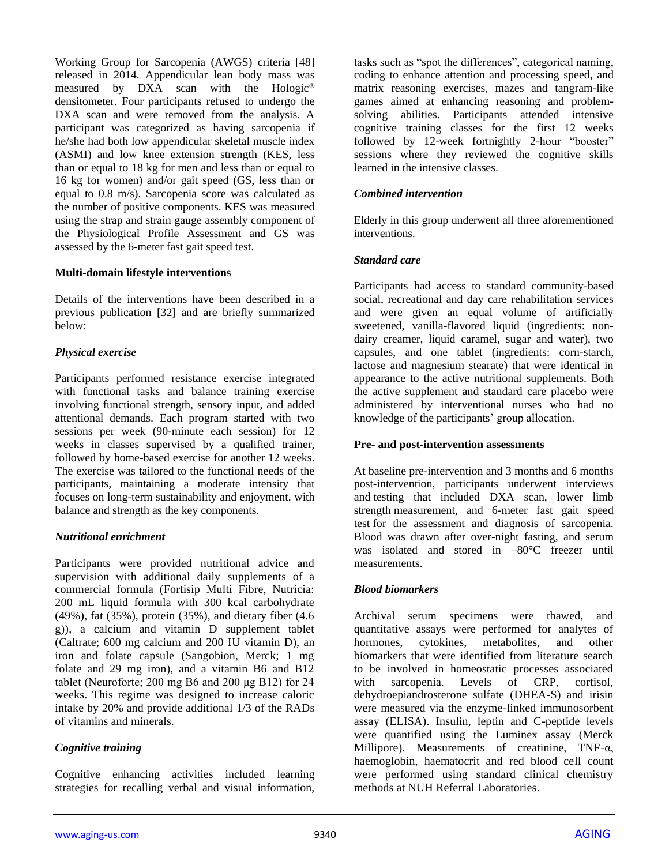Working Group for Sarcopenia (AWGS) criteria [48] released in 2014. Appendicular lean body mass was measured by DXA scan with the Hologic® densitometer. Four participants refused to undergo the DXA scan and were removed from the analysis. A participant was categorized as having sarcopenia if he/she had both low appendicular skeletal muscle index (ASMI) and low knee extension strength (KES, less than or equal to 18 kg for men and less than or equal to 16 kg for women) and/or gait speed (GS, less than or equal to 0.8 m/s). Sarcopenia score was calculated as the number of positive components. KES was measured using the strap and strain gauge assembly component of the Physiological Profile Assessment and GS was assessed by the 6-meter fast gait speed test.

## **Multi-domain lifestyle interventions**

Details of the interventions have been described in a previous publication [32] and are briefly summarized below:

# *Physical exercise*

Participants performed resistance exercise integrated with functional tasks and balance training exercise involving functional strength, sensory input, and added attentional demands. Each program started with two sessions per week (90-minute each session) for 12 weeks in classes supervised by a qualified trainer, followed by home-based exercise for another 12 weeks. The exercise was tailored to the functional needs of the participants, maintaining a moderate intensity that focuses on long-term sustainability and enjoyment, with balance and strength as the key components.

## *Nutritional enrichment*

Participants were provided nutritional advice and supervision with additional daily supplements of a commercial formula (Fortisip Multi Fibre, Nutricia: 200 mL liquid formula with 300 kcal carbohydrate (49%), fat (35%), protein (35%), and dietary fiber (4.6 g)), a calcium and vitamin D supplement tablet (Caltrate; 600 mg calcium and 200 IU vitamin D), an iron and folate capsule (Sangobion, Merck; 1 mg folate and 29 mg iron), and a vitamin B6 and B12 tablet (Neuroforte; 200 mg B6 and 200 μg B12) for 24 weeks. This regime was designed to increase caloric intake by 20% and provide additional 1/3 of the RADs of vitamins and minerals.

# *Cognitive training*

Cognitive enhancing activities included learning strategies for recalling verbal and visual information, tasks such as "spot the differences", categorical naming, coding to enhance attention and processing speed, and matrix reasoning exercises, mazes and tangram-like games aimed at enhancing reasoning and problemsolving abilities. Participants attended intensive cognitive training classes for the first 12 weeks followed by 12-week fortnightly 2-hour "booster" sessions where they reviewed the cognitive skills learned in the intensive classes.

## *Combined intervention*

Elderly in this group underwent all three aforementioned interventions.

## *Standard care*

Participants had access to standard community-based social, recreational and day care rehabilitation services and were given an equal volume of artificially sweetened, vanilla-flavored liquid (ingredients: nondairy creamer, liquid caramel, sugar and water), two capsules, and one tablet (ingredients: corn-starch, lactose and magnesium stearate) that were identical in appearance to the active nutritional supplements. Both the active supplement and standard care placebo were administered by interventional nurses who had no knowledge of the participants' group allocation.

## **Pre- and post-intervention assessments**

At baseline pre-intervention and 3 months and 6 months post-intervention, participants underwent interviews and testing that included DXA scan, lower limb strength measurement, and 6-meter fast gait speed test for the assessment and diagnosis of sarcopenia. Blood was drawn after over-night fasting, and serum was isolated and stored in –80°C freezer until measurements.

# *Blood biomarkers*

Archival serum specimens were thawed, and quantitative assays were performed for analytes of hormones, cytokines, metabolites, and other biomarkers that were identified from literature search to be involved in homeostatic processes associated with sarcopenia. Levels of CRP, cortisol, dehydroepiandrosterone sulfate (DHEA-S) and irisin were measured via the enzyme-linked immunosorbent assay (ELISA). Insulin, leptin and C-peptide levels were quantified using the Luminex assay (Merck Millipore). Measurements of creatinine, TNF-α, haemoglobin, haematocrit and red blood cell count were performed using standard clinical chemistry methods at NUH Referral Laboratories.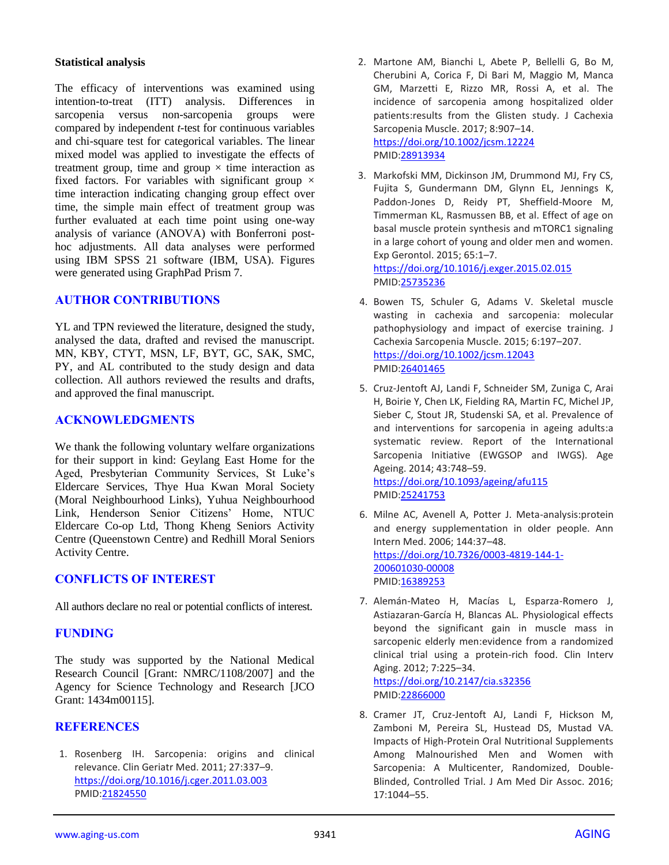## **Statistical analysis**

The efficacy of interventions was examined using intention-to-treat (ITT) analysis. Differences in sarcopenia versus non-sarcopenia groups were compared by independent *t*-test for continuous variables and chi-square test for categorical variables. The linear mixed model was applied to investigate the effects of treatment group, time and group  $\times$  time interaction as fixed factors. For variables with significant group  $\times$ time interaction indicating changing group effect over time, the simple main effect of treatment group was further evaluated at each time point using one-way analysis of variance (ANOVA) with Bonferroni posthoc adjustments. All data analyses were performed using IBM SPSS 21 software (IBM, USA). Figures were generated using GraphPad Prism 7.

## **AUTHOR CONTRIBUTIONS**

YL and TPN reviewed the literature, designed the study, analysed the data, drafted and revised the manuscript. MN, KBY, CTYT, MSN, LF, BYT, GC, SAK, SMC, PY, and AL contributed to the study design and data collection. All authors reviewed the results and drafts, and approved the final manuscript.

## **ACKNOWLEDGMENTS**

We thank the following voluntary welfare organizations for their support in kind: Geylang East Home for the Aged, Presbyterian Community Services, St Luke's Eldercare Services, Thye Hua Kwan Moral Society (Moral Neighbourhood Links), Yuhua Neighbourhood Link, Henderson Senior Citizens' Home, NTUC Eldercare Co-op Ltd, Thong Kheng Seniors Activity Centre (Queenstown Centre) and Redhill Moral Seniors Activity Centre.

# **CONFLICTS OF INTEREST**

All authors declare no real or potential conflicts of interest.

# **FUNDING**

The study was supported by the National Medical Research Council [Grant: NMRC/1108/2007] and the Agency for Science Technology and Research [JCO Grant: 1434m00115].

## **REFERENCES**

1. Rosenberg IH. Sarcopenia: origins and clinical relevance. Clin Geriatr Med. 2011; 27:337–9. <https://doi.org/10.1016/j.cger.2011.03.003> PMID[:21824550](http://www.ncbi.nlm.nih.gov/pubmed/21824550)

- 2. Martone AM, Bianchi L, Abete P, Bellelli G, Bo M, Cherubini A, Corica F, Di Bari M, Maggio M, Manca GM, Marzetti E, Rizzo MR, Rossi A, et al. The incidence of sarcopenia among hospitalized older patients:results from the Glisten study. J Cachexia Sarcopenia Muscle. 2017; 8:907–14. <https://doi.org/10.1002/jcsm.12224> PMID[:28913934](http://www.ncbi.nlm.nih.gov/pubmed/28913934)
- 3. Markofski MM, Dickinson JM, Drummond MJ, Fry CS, Fujita S, Gundermann DM, Glynn EL, Jennings K, Paddon-Jones D, Reidy PT, Sheffield-Moore M, Timmerman KL, Rasmussen BB, et al. Effect of age on basal muscle protein synthesis and mTORC1 signaling in a large cohort of young and older men and women. Exp Gerontol. 2015; 65:1–7. <https://doi.org/10.1016/j.exger.2015.02.015> PMID[:25735236](http://www.ncbi.nlm.nih.gov/pubmed/25735236)
- 4. Bowen TS, Schuler G, Adams V. Skeletal muscle wasting in cachexia and sarcopenia: molecular pathophysiology and impact of exercise training. J Cachexia Sarcopenia Muscle. 2015; 6:197–207. <https://doi.org/10.1002/jcsm.12043> PMID[:26401465](http://www.ncbi.nlm.nih.gov/pubmed/26401465)
- 5. Cruz-Jentoft AJ, Landi F, Schneider SM, Zuniga C, Arai H, Boirie Y, Chen LK, Fielding RA, Martin FC, Michel JP, Sieber C, Stout JR, Studenski SA, et al. Prevalence of and interventions for sarcopenia in ageing adults:a systematic review. Report of the International Sarcopenia Initiative (EWGSOP and IWGS). Age Ageing. 2014; 43:748–59. <https://doi.org/10.1093/ageing/afu115> PMID[:25241753](http://www.ncbi.nlm.nih.gov/pubmed/25241753)
- 6. Milne AC, Avenell A, Potter J. Meta-analysis:protein and energy supplementation in older people. Ann Intern Med. 2006; 144:37–48. [https://doi.org/10.7326/0003-4819-144-1-](https://doi.org/10.7326/0003-4819-144-1-200601030-00008) [200601030-00008](https://doi.org/10.7326/0003-4819-144-1-200601030-00008) PMID[:16389253](http://www.ncbi.nlm.nih.gov/pubmed/16389253)
- 7. Alemán-Mateo H, Macías L, Esparza-Romero J, Astiazaran-García H, Blancas AL. Physiological effects beyond the significant gain in muscle mass in sarcopenic elderly men:evidence from a randomized clinical trial using a protein-rich food. Clin Interv Aging. 2012; 7:225–34. <https://doi.org/10.2147/cia.s32356>

```
PMID:22866000
```
8. Cramer JT, Cruz-Jentoft AJ, Landi F, Hickson M, Zamboni M, Pereira SL, Hustead DS, Mustad VA. Impacts of High-Protein Oral Nutritional Supplements Among Malnourished Men and Women with Sarcopenia: A Multicenter, Randomized, Double-Blinded, Controlled Trial. J Am Med Dir Assoc. 2016; 17:1044–55.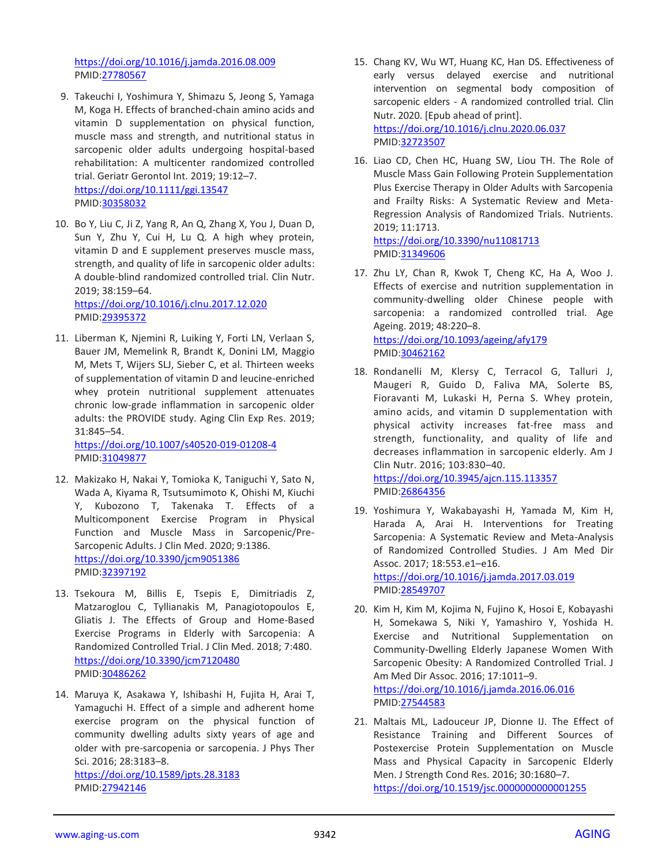<https://doi.org/10.1016/j.jamda.2016.08.009> PMID[:27780567](http://www.ncbi.nlm.nih.gov/pubmed/27780567)

- 9. Takeuchi I, Yoshimura Y, Shimazu S, Jeong S, Yamaga M, Koga H. Effects of branched-chain amino acids and vitamin D supplementation on physical function, muscle mass and strength, and nutritional status in sarcopenic older adults undergoing hospital-based rehabilitation: A multicenter randomized controlled trial. Geriatr Gerontol Int. 2019; 19:12–7. <https://doi.org/10.1111/ggi.13547> PMID[:30358032](http://www.ncbi.nlm.nih.gov/pubmed/30358032)
- 10. Bo Y, Liu C, Ji Z, Yang R, An Q, Zhang X, You J, Duan D, Sun Y, Zhu Y, Cui H, Lu Q. A high whey protein, vitamin D and E supplement preserves muscle mass, strength, and quality of life in sarcopenic older adults: A double-blind randomized controlled trial. Clin Nutr. 2019; 38:159–64. <https://doi.org/10.1016/j.clnu.2017.12.020>

PMID[:29395372](http://www.ncbi.nlm.nih.gov/pubmed/29395372)

11. Liberman K, Njemini R, Luiking Y, Forti LN, Verlaan S, Bauer JM, Memelink R, Brandt K, Donini LM, Maggio M, Mets T, Wijers SLJ, Sieber C, et al. Thirteen weeks of supplementation of vitamin D and leucine-enriched whey protein nutritional supplement attenuates chronic low-grade inflammation in sarcopenic older adults: the PROVIDE study. Aging Clin Exp Res. 2019; 31:845–54.

<https://doi.org/10.1007/s40520-019-01208-4> PMID[:31049877](http://www.ncbi.nlm.nih.gov/pubmed/31049877)

- 12. Makizako H, Nakai Y, Tomioka K, Taniguchi Y, Sato N, Wada A, Kiyama R, Tsutsumimoto K, Ohishi M, Kiuchi Y, Kubozono T, Takenaka T. Effects of a Multicomponent Exercise Program in Physical Function and Muscle Mass in Sarcopenic/Pre-Sarcopenic Adults. J Clin Med. 2020; 9:1386. <https://doi.org/10.3390/jcm9051386> PMID[:32397192](http://www.ncbi.nlm.nih.gov/pubmed/32397192)
- 13. Tsekoura M, Billis E, Tsepis E, Dimitriadis Z, Matzaroglou C, Tyllianakis M, Panagiotopoulos E, Gliatis J. The Effects of Group and Home-Based Exercise Programs in Elderly with Sarcopenia: A Randomized Controlled Trial. J Clin Med. 2018; 7:480. <https://doi.org/10.3390/jcm7120480> PMID[:30486262](http://www.ncbi.nlm.nih.gov/pubmed/30486262)
- 14. Maruya K, Asakawa Y, Ishibashi H, Fujita H, Arai T, Yamaguchi H. Effect of a simple and adherent home exercise program on the physical function of community dwelling adults sixty years of age and older with pre-sarcopenia or sarcopenia. J Phys Ther Sci. 2016; 28:3183–8. <https://doi.org/10.1589/jpts.28.3183> PMID[:27942146](http://www.ncbi.nlm.nih.gov/pubmed/27942146)
- 15. Chang KV, Wu WT, Huang KC, Han DS. Effectiveness of early versus delayed exercise and nutritional intervention on segmental body composition of sarcopenic elders - A randomized controlled trial. Clin Nutr. 2020. [Epub ahead of print]. <https://doi.org/10.1016/j.clnu.2020.06.037> PMID[:32723507](http://www.ncbi.nlm.nih.gov/pubmed/32723507)
- 16. Liao CD, Chen HC, Huang SW, Liou TH. The Role of Muscle Mass Gain Following Protein Supplementation Plus Exercise Therapy in Older Adults with Sarcopenia and Frailty Risks: A Systematic Review and Meta-Regression Analysis of Randomized Trials. Nutrients. 2019; 11:1713.

<https://doi.org/10.3390/nu11081713> PMID[:31349606](http://www.ncbi.nlm.nih.gov/pubmed/31349606)

- 17. Zhu LY, Chan R, Kwok T, Cheng KC, Ha A, Woo J. Effects of exercise and nutrition supplementation in community-dwelling older Chinese people with sarcopenia: a randomized controlled trial. Age Ageing. 2019; 48:220–8. <https://doi.org/10.1093/ageing/afy179> PMID[:30462162](http://www.ncbi.nlm.nih.gov/pubmed/30462162)
- 18. Rondanelli M, Klersy C, Terracol G, Talluri J, Maugeri R, Guido D, Faliva MA, Solerte BS, Fioravanti M, Lukaski H, Perna S. Whey protein, amino acids, and vitamin D supplementation with physical activity increases fat-free mass and strength, functionality, and quality of life and decreases inflammation in sarcopenic elderly. Am J Clin Nutr. 2016; 103:830–40.

<https://doi.org/10.3945/ajcn.115.113357> PMID[:26864356](http://www.ncbi.nlm.nih.gov/pubmed/26864356)

- 19. Yoshimura Y, Wakabayashi H, Yamada M, Kim H, Harada A, Arai H. Interventions for Treating Sarcopenia: A Systematic Review and Meta-Analysis of Randomized Controlled Studies. J Am Med Dir Assoc. 2017; 18:553.e1–e16. <https://doi.org/10.1016/j.jamda.2017.03.019> PMID[:28549707](http://www.ncbi.nlm.nih.gov/pubmed/28549707)
- 20. Kim H, Kim M, Kojima N, Fujino K, Hosoi E, Kobayashi H, Somekawa S, Niki Y, Yamashiro Y, Yoshida H. Exercise and Nutritional Supplementation on Community-Dwelling Elderly Japanese Women With Sarcopenic Obesity: A Randomized Controlled Trial. J Am Med Dir Assoc. 2016; 17:1011–9. <https://doi.org/10.1016/j.jamda.2016.06.016> PMID[:27544583](http://www.ncbi.nlm.nih.gov/pubmed/27544583)
- 21. Maltais ML, Ladouceur JP, Dionne IJ. The Effect of Resistance Training and Different Sources of Postexercise Protein Supplementation on Muscle Mass and Physical Capacity in Sarcopenic Elderly Men. J Strength Cond Res. 2016; 30:1680–7. <https://doi.org/10.1519/jsc.0000000000001255>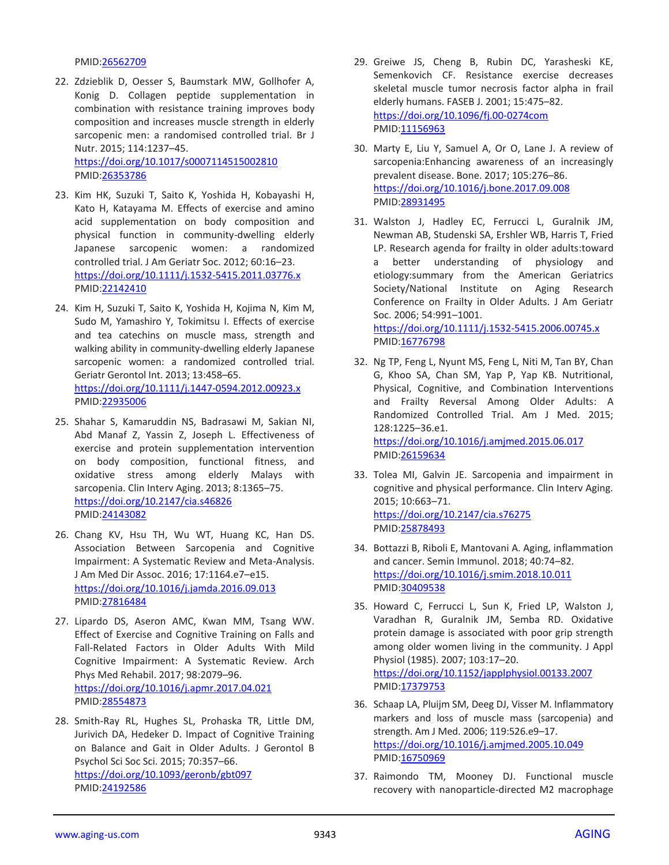#### PMID[:26562709](http://www.ncbi.nlm.nih.gov/pubmed/26562709)

- 22. Zdzieblik D, Oesser S, Baumstark MW, Gollhofer A, Konig D. Collagen peptide supplementation in combination with resistance training improves body composition and increases muscle strength in elderly sarcopenic men: a randomised controlled trial. Br J Nutr. 2015; 114:1237–45. <https://doi.org/10.1017/s0007114515002810> PMID[:26353786](http://www.ncbi.nlm.nih.gov/pubmed/26353786)
- 23. Kim HK, Suzuki T, Saito K, Yoshida H, Kobayashi H, Kato H, Katayama M. Effects of exercise and amino acid supplementation on body composition and physical function in community-dwelling elderly Japanese sarcopenic women: a randomized controlled trial. J Am Geriatr Soc. 2012; 60:16–23. <https://doi.org/10.1111/j.1532-5415.2011.03776.x> PMID[:22142410](http://www.ncbi.nlm.nih.gov/pubmed/22142410)
- 24. Kim H, Suzuki T, Saito K, Yoshida H, Kojima N, Kim M, Sudo M, Yamashiro Y, Tokimitsu I. Effects of exercise and tea catechins on muscle mass, strength and walking ability in community-dwelling elderly Japanese sarcopenic women: a randomized controlled trial. Geriatr Gerontol Int. 2013; 13:458–65. <https://doi.org/10.1111/j.1447-0594.2012.00923.x> PMID[:22935006](http://www.ncbi.nlm.nih.gov/pubmed/22935006)
- 25. Shahar S, Kamaruddin NS, Badrasawi M, Sakian NI, Abd Manaf Z, Yassin Z, Joseph L. Effectiveness of exercise and protein supplementation intervention on body composition, functional fitness, and oxidative stress among elderly Malays with sarcopenia. Clin Interv Aging. 2013; 8:1365–75. <https://doi.org/10.2147/cia.s46826> PMID[:24143082](http://www.ncbi.nlm.nih.gov/pubmed/24143082)
- 26. Chang KV, Hsu TH, Wu WT, Huang KC, Han DS. Association Between Sarcopenia and Cognitive Impairment: A Systematic Review and Meta-Analysis. J Am Med Dir Assoc. 2016; 17:1164.e7–e15. <https://doi.org/10.1016/j.jamda.2016.09.013> PMID[:27816484](http://www.ncbi.nlm.nih.gov/pubmed/27816484)
- 27. Lipardo DS, Aseron AMC, Kwan MM, Tsang WW. Effect of Exercise and Cognitive Training on Falls and Fall-Related Factors in Older Adults With Mild Cognitive Impairment: A Systematic Review. Arch Phys Med Rehabil. 2017; 98:2079–96. <https://doi.org/10.1016/j.apmr.2017.04.021> PMID[:28554873](http://www.ncbi.nlm.nih.gov/pubmed/28554873)
- 28. Smith-Ray RL, Hughes SL, Prohaska TR, Little DM, Jurivich DA, Hedeker D. Impact of Cognitive Training on Balance and Gait in Older Adults. J Gerontol B Psychol Sci Soc Sci. 2015; 70:357–66. <https://doi.org/10.1093/geronb/gbt097> PMID[:24192586](http://www.ncbi.nlm.nih.gov/pubmed/24192586)
- 29. Greiwe JS, Cheng B, Rubin DC, Yarasheski KE, Semenkovich CF. Resistance exercise decreases skeletal muscle tumor necrosis factor alpha in frail elderly humans. FASEB J. 2001; 15:475–82. <https://doi.org/10.1096/fj.00-0274com> PMID[:11156963](http://www.ncbi.nlm.nih.gov/pubmed/11156963)
- 30. Marty E, Liu Y, Samuel A, Or O, Lane J. A review of sarcopenia:Enhancing awareness of an increasingly prevalent disease. Bone. 2017; 105:276–86. <https://doi.org/10.1016/j.bone.2017.09.008> PMID[:28931495](http://www.ncbi.nlm.nih.gov/pubmed/28931495)
- 31. Walston J, Hadley EC, Ferrucci L, Guralnik JM, Newman AB, Studenski SA, Ershler WB, Harris T, Fried LP. Research agenda for frailty in older adults:toward a better understanding of physiology and etiology:summary from the American Geriatrics Society/National Institute on Aging Research Conference on Frailty in Older Adults. J Am Geriatr Soc. 2006; 54:991–1001.

<https://doi.org/10.1111/j.1532-5415.2006.00745.x> PMID[:16776798](http://www.ncbi.nlm.nih.gov/pubmed/16776798)

- 32. Ng TP, Feng L, Nyunt MS, Feng L, Niti M, Tan BY, Chan G, Khoo SA, Chan SM, Yap P, Yap KB. Nutritional, Physical, Cognitive, and Combination Interventions and Frailty Reversal Among Older Adults: A Randomized Controlled Trial. Am J Med. 2015; 128:1225–36.e1. <https://doi.org/10.1016/j.amjmed.2015.06.017> PMID[:26159634](http://www.ncbi.nlm.nih.gov/pubmed/26159634)
- 33. Tolea MI, Galvin JE. Sarcopenia and impairment in cognitive and physical performance. Clin Interv Aging. 2015; 10:663–71. <https://doi.org/10.2147/cia.s76275> PMID[:25878493](http://www.ncbi.nlm.nih.gov/pubmed/25878493)
- 34. Bottazzi B, Riboli E, Mantovani A. Aging, inflammation and cancer. Semin Immunol. 2018; 40:74–82. <https://doi.org/10.1016/j.smim.2018.10.011> PMID[:30409538](http://www.ncbi.nlm.nih.gov/pubmed/30409538)
- 35. Howard C, Ferrucci L, Sun K, Fried LP, Walston J, Varadhan R, Guralnik JM, Semba RD. Oxidative protein damage is associated with poor grip strength among older women living in the community. J Appl Physiol (1985). 2007; 103:17–20. <https://doi.org/10.1152/japplphysiol.00133.2007> PMID[:17379753](http://www.ncbi.nlm.nih.gov/pubmed/17379753)
- 36. Schaap LA, Pluijm SM, Deeg DJ, Visser M. Inflammatory markers and loss of muscle mass (sarcopenia) and strength. Am J Med. 2006; 119:526.e9–17. <https://doi.org/10.1016/j.amjmed.2005.10.049> PMID[:16750969](http://www.ncbi.nlm.nih.gov/pubmed/16750969)
- 37. Raimondo TM, Mooney DJ. Functional muscle recovery with nanoparticle-directed M2 macrophage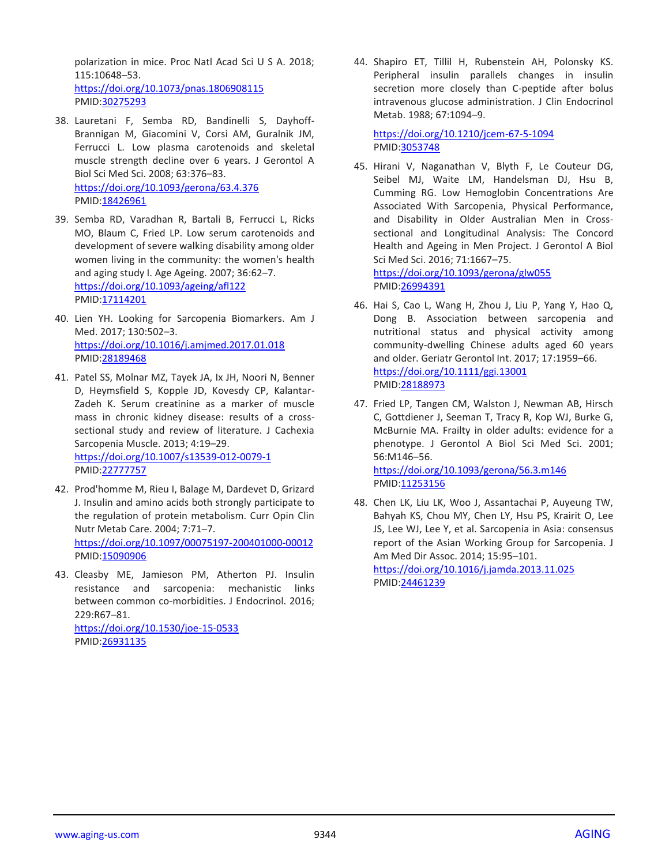polarization in mice. Proc Natl Acad Sci U S A. 2018; 115:10648–53. <https://doi.org/10.1073/pnas.1806908115> PMID[:30275293](http://www.ncbi.nlm.nih.gov/pubmed/30275293)

- 38. Lauretani F, Semba RD, Bandinelli S, Dayhoff-Brannigan M, Giacomini V, Corsi AM, Guralnik JM, Ferrucci L. Low plasma carotenoids and skeletal muscle strength decline over 6 years. J Gerontol A Biol Sci Med Sci. 2008; 63:376–83. <https://doi.org/10.1093/gerona/63.4.376> PMID[:18426961](http://www.ncbi.nlm.nih.gov/pubmed/18426961)
- 39. Semba RD, Varadhan R, Bartali B, Ferrucci L, Ricks MO, Blaum C, Fried LP. Low serum carotenoids and development of severe walking disability among older women living in the community: the women's health and aging study I. Age Ageing. 2007; 36:62–7. <https://doi.org/10.1093/ageing/afl122> PMID[:17114201](http://www.ncbi.nlm.nih.gov/pubmed/17114201)
- 40. Lien YH. Looking for Sarcopenia Biomarkers. Am J Med. 2017; 130:502–3. <https://doi.org/10.1016/j.amjmed.2017.01.018> PMID[:28189468](http://www.ncbi.nlm.nih.gov/pubmed/28189468)
- 41. Patel SS, Molnar MZ, Tayek JA, Ix JH, Noori N, Benner D, Heymsfield S, Kopple JD, Kovesdy CP, Kalantar-Zadeh K. Serum creatinine as a marker of muscle mass in chronic kidney disease: results of a crosssectional study and review of literature. J Cachexia Sarcopenia Muscle. 2013; 4:19–29. <https://doi.org/10.1007/s13539-012-0079-1> PMID[:22777757](http://www.ncbi.nlm.nih.gov/pubmed/22777757)
- 42. Prod'homme M, Rieu I, Balage M, Dardevet D, Grizard J. Insulin and amino acids both strongly participate to the regulation of protein metabolism. Curr Opin Clin Nutr Metab Care. 2004; 7:71–7. <https://doi.org/10.1097/00075197-200401000-00012> PMID[:15090906](http://www.ncbi.nlm.nih.gov/pubmed/15090906)
- 43. Cleasby ME, Jamieson PM, Atherton PJ. Insulin resistance and sarcopenia: mechanistic links between common co-morbidities. J Endocrinol. 2016; 229:R67–81. <https://doi.org/10.1530/joe-15-0533> PMID[:26931135](http://www.ncbi.nlm.nih.gov/pubmed/26931135)

44. Shapiro ET, Tillil H, Rubenstein AH, Polonsky KS. Peripheral insulin parallels changes in insulin secretion more closely than C-peptide after bolus intravenous glucose administration. J Clin Endocrinol Metab. 1988; 67:1094–9.

<https://doi.org/10.1210/jcem-67-5-1094> PMID[:3053748](http://www.ncbi.nlm.nih.gov/pubmed/3053748)

- 45. Hirani V, Naganathan V, Blyth F, Le Couteur DG, Seibel MJ, Waite LM, Handelsman DJ, Hsu B, Cumming RG. Low Hemoglobin Concentrations Are Associated With Sarcopenia, Physical Performance, and Disability in Older Australian Men in Crosssectional and Longitudinal Analysis: The Concord Health and Ageing in Men Project. J Gerontol A Biol Sci Med Sci. 2016; 71:1667–75. <https://doi.org/10.1093/gerona/glw055> PMID[:26994391](http://www.ncbi.nlm.nih.gov/pubmed/26994391)
- 46. Hai S, Cao L, Wang H, Zhou J, Liu P, Yang Y, Hao Q, Dong B. Association between sarcopenia and nutritional status and physical activity among community-dwelling Chinese adults aged 60 years and older. Geriatr Gerontol Int. 2017; 17:1959–66. <https://doi.org/10.1111/ggi.13001> PMID[:28188973](http://www.ncbi.nlm.nih.gov/pubmed/28188973)
- 47. Fried LP, Tangen CM, Walston J, Newman AB, Hirsch C, Gottdiener J, Seeman T, Tracy R, Kop WJ, Burke G, McBurnie MA. Frailty in older adults: evidence for a phenotype. J Gerontol A Biol Sci Med Sci. 2001; 56:M146–56. <https://doi.org/10.1093/gerona/56.3.m146>
	- PMID[:11253156](http://www.ncbi.nlm.nih.gov/pubmed/11253156)
- 48. Chen LK, Liu LK, Woo J, Assantachai P, Auyeung TW, Bahyah KS, Chou MY, Chen LY, Hsu PS, Krairit O, Lee JS, Lee WJ, Lee Y, et al. Sarcopenia in Asia: consensus report of the Asian Working Group for Sarcopenia. J Am Med Dir Assoc. 2014; 15:95–101. <https://doi.org/10.1016/j.jamda.2013.11.025> PMID[:24461239](http://www.ncbi.nlm.nih.gov/pubmed/24461239)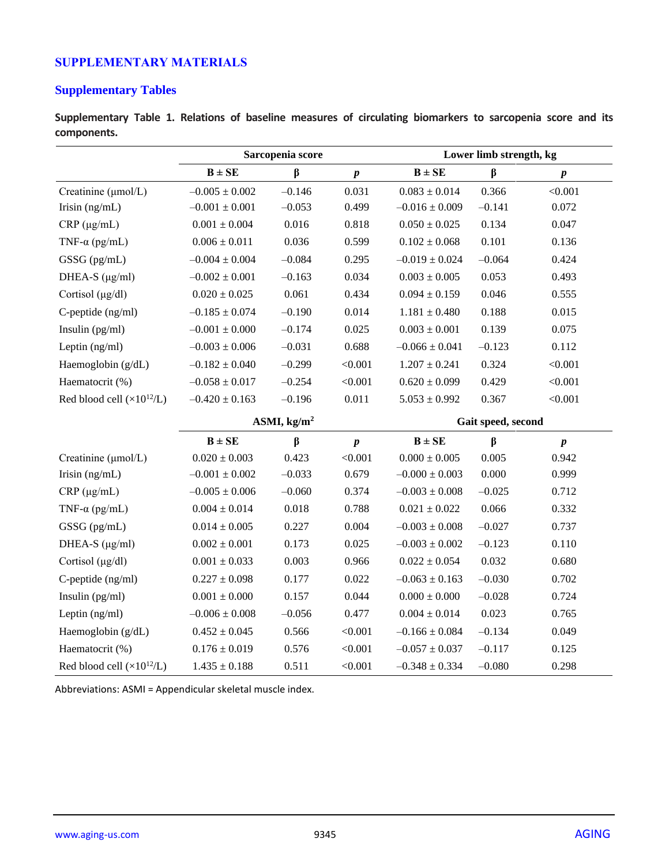# **SUPPLEMENTARY MATERIALS**

# **Supplementary Tables**

**Supplementary Table 1. Relations of baseline measures of circulating biomarkers to sarcopenia score and its components.**

|                                      | Sarcopenia score   |                       | Lower limb strength, kg |                    |                    |           |  |  |
|--------------------------------------|--------------------|-----------------------|-------------------------|--------------------|--------------------|-----------|--|--|
|                                      | $B \pm SE$         | $\beta$               | $\pmb{p}$               | $B \pm SE$         | $\beta$            | $\pmb{p}$ |  |  |
| Creatinine (µmol/L)                  | $-0.005 \pm 0.002$ | $-0.146$              | 0.031                   | $0.083 \pm 0.014$  | 0.366              | < 0.001   |  |  |
| Irisin (ng/mL)                       | $-0.001 \pm 0.001$ | $-0.053$              | 0.499                   | $-0.016 \pm 0.009$ | $-0.141$           | 0.072     |  |  |
| $CRP (\mu g/mL)$                     | $0.001 \pm 0.004$  | 0.016                 | 0.818                   | $0.050 \pm 0.025$  | 0.134              | 0.047     |  |  |
| TNF- $\alpha$ (pg/mL)                | $0.006 \pm 0.011$  | 0.036                 | 0.599                   | $0.102 \pm 0.068$  | 0.101              | 0.136     |  |  |
| GSSG (pg/mL)                         | $-0.004 \pm 0.004$ | $-0.084$              | 0.295                   | $-0.019 \pm 0.024$ | $-0.064$           | 0.424     |  |  |
| DHEA-S $(\mu g/ml)$                  | $-0.002 \pm 0.001$ | $-0.163$              | 0.034                   | $0.003 \pm 0.005$  | 0.053              | 0.493     |  |  |
| Cortisol $(\mu g/dl)$                | $0.020 \pm 0.025$  | 0.061                 | 0.434                   | $0.094 \pm 0.159$  | 0.046              | 0.555     |  |  |
| C-peptide (ng/ml)                    | $-0.185 \pm 0.074$ | $-0.190$              | 0.014                   | $1.181 \pm 0.480$  | 0.188              | 0.015     |  |  |
| Insulin $(pg/ml)$                    | $-0.001 \pm 0.000$ | $-0.174$              | 0.025                   | $0.003 \pm 0.001$  | 0.139              | 0.075     |  |  |
| Leptin (ng/ml)                       | $-0.003 \pm 0.006$ | $-0.031$              | 0.688                   | $-0.066 \pm 0.041$ | $-0.123$           | 0.112     |  |  |
| Haemoglobin (g/dL)                   | $-0.182 \pm 0.040$ | $-0.299$              | < 0.001                 | $1.207 \pm 0.241$  | 0.324              | < 0.001   |  |  |
| Haematocrit (%)                      | $-0.058 \pm 0.017$ | $-0.254$              | < 0.001                 | $0.620 \pm 0.099$  | 0.429              | < 0.001   |  |  |
| Red blood cell $(\times 10^{12}$ /L) | $-0.420 \pm 0.163$ | $-0.196$              | 0.011                   | $5.053 \pm 0.992$  | 0.367              | < 0.001   |  |  |
|                                      |                    | ASMI, $\text{kg/m}^2$ |                         |                    | Gait speed, second |           |  |  |
|                                      | $B \pm SE$         | β                     | $\pmb{p}$               | $B \pm SE$         | β                  | $\pmb{p}$ |  |  |
| Creatinine (µmol/L)                  | $0.020 \pm 0.003$  | 0.423                 | < 0.001                 | $0.000 \pm 0.005$  | 0.005              | 0.942     |  |  |
| Irisin $(ng/mL)$                     | $-0.001 \pm 0.002$ | $-0.033$              | 0.679                   | $-0.000 \pm 0.003$ | 0.000              | 0.999     |  |  |
| $CRP(\mu g/mL)$                      | $-0.005 \pm 0.006$ | $-0.060$              | 0.374                   | $-0.003 \pm 0.008$ | $-0.025$           | 0.712     |  |  |
| TNF- $\alpha$ (pg/mL)                | $0.004 \pm 0.014$  | 0.018                 | 0.788                   | $0.021\pm0.022$    | 0.066              | 0.332     |  |  |
| GSSG (pg/mL)                         | $0.014 \pm 0.005$  | 0.227                 | 0.004                   | $-0.003 \pm 0.008$ | $-0.027$           | 0.737     |  |  |
| DHEA-S $(\mu g/ml)$                  | $0.002\pm0.001$    | 0.173                 | 0.025                   | $-0.003 \pm 0.002$ | $-0.123$           | 0.110     |  |  |
| Cortisol (µg/dl)                     | $0.001\pm0.033$    | 0.003                 | 0.966                   | $0.022 \pm 0.054$  | 0.032              | 0.680     |  |  |
| C-peptide (ng/ml)                    | $0.227 \pm 0.098$  | 0.177                 | 0.022                   | $-0.063 \pm 0.163$ | $-0.030$           | 0.702     |  |  |
| Insulin $(pg/ml)$                    | $0.001\pm0.000$    | 0.157                 | 0.044                   | $0.000\pm0.000$    | $-0.028$           | 0.724     |  |  |
| Leptin (ng/ml)                       | $-0.006 \pm 0.008$ | $-0.056$              | 0.477                   | $0.004 \pm 0.014$  | 0.023              | 0.765     |  |  |
| Haemoglobin (g/dL)                   | $0.452 \pm 0.045$  | 0.566                 | < 0.001                 | $-0.166 \pm 0.084$ | $-0.134$           | 0.049     |  |  |
| Haematocrit (%)                      | $0.176 \pm 0.019$  | 0.576                 | < 0.001                 | $-0.057 \pm 0.037$ | $-0.117$           | 0.125     |  |  |
| Red blood cell $(\times 10^{12}/L)$  | $1.435 \pm 0.188$  | 0.511                 | < 0.001                 | $-0.348 \pm 0.334$ | $-0.080$           | 0.298     |  |  |

Abbreviations: ASMI = Appendicular skeletal muscle index.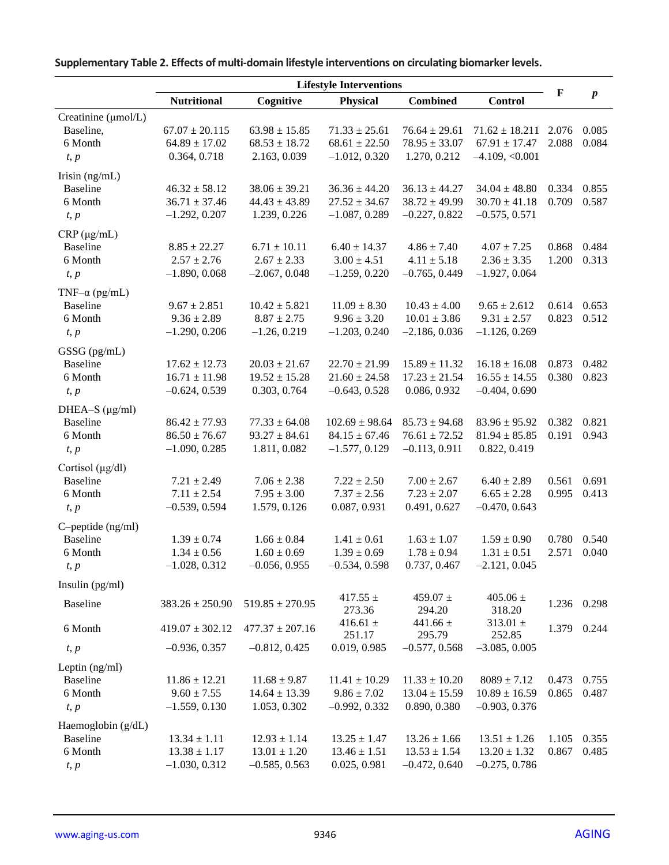|                                 | <b>Lifestyle Interventions</b> |                     |                        |                           |                           |       |                  |
|---------------------------------|--------------------------------|---------------------|------------------------|---------------------------|---------------------------|-------|------------------|
|                                 | <b>Nutritional</b>             | Cognitive           | <b>Physical</b>        | <b>Combined</b>           | <b>Control</b>            | F     | $\boldsymbol{p}$ |
| Creatinine (µmol/L)             |                                |                     |                        |                           |                           |       |                  |
| Baseline,                       | $67.07 \pm 20.115$             | $63.98 \pm 15.85$   | $71.33 \pm 25.61$      | $76.64 \pm 29.61$         | $71.62 \pm 18.211$        | 2.076 | 0.085            |
| 6 Month                         | $64.89 \pm 17.02$              | $68.53 \pm 18.72$   | $68.61 \pm 22.50$      | $78.95 \pm 33.07$         | $67.91 \pm 17.47$         | 2.088 | 0.084            |
| t, p                            | 0.364, 0.718                   | 2.163, 0.039        | $-1.012, 0.320$        | 1.270, 0.212              | $-4.109, <0.001$          |       |                  |
| Irisin $(ng/mL)$                |                                |                     |                        |                           |                           |       |                  |
| <b>Baseline</b>                 | $46.32 \pm 58.12$              | $38.06 \pm 39.21$   | $36.36 \pm 44.20$      | $36.13 \pm 44.27$         | $34.04 \pm 48.80$         | 0.334 | 0.855            |
| 6 Month                         | $36.71 \pm 37.46$              | $44.43 \pm 43.89$   | $27.52 \pm 34.67$      | $38.72 \pm 49.99$         | $30.70 \pm 41.18$         | 0.709 | 0.587            |
| t, p                            | $-1.292, 0.207$                | 1.239, 0.226        | $-1.087, 0.289$        | $-0.227, 0.822$           | $-0.575, 0.571$           |       |                  |
| $CRP(\mu g/mL)$                 |                                |                     |                        |                           |                           |       |                  |
| <b>Baseline</b>                 | $8.85 \pm 22.27$               | $6.71 \pm 10.11$    | $6.40 \pm 14.37$       | $4.86 \pm 7.40$           | $4.07 \pm 7.25$           | 0.868 | 0.484            |
| 6 Month                         | $2.57 \pm 2.76$                | $2.67 \pm 2.33$     | $3.00 \pm 4.51$        | $4.11 \pm 5.18$           | $2.36 \pm 3.35$           | 1.200 | 0.313            |
| t, p                            | $-1.890, 0.068$                | $-2.067, 0.048$     | $-1.259, 0.220$        | $-0.765, 0.449$           | $-1.927, 0.064$           |       |                  |
| TNF- $\alpha$ (pg/mL)           |                                |                     |                        |                           |                           |       |                  |
| <b>Baseline</b>                 | $9.67 \pm 2.851$               | $10.42 \pm 5.821$   | $11.09 \pm 8.30$       | $10.43 \pm 4.00$          | $9.65 \pm 2.612$          | 0.614 | 0.653            |
| 6 Month                         | $9.36 \pm 2.89$                | $8.87 \pm 2.75$     | $9.96 \pm 3.20$        | $10.01 \pm 3.86$          | $9.31 \pm 2.57$           | 0.823 | 0.512            |
| t, p                            | $-1.290, 0.206$                | $-1.26, 0.219$      | $-1.203, 0.240$        | $-2.186, 0.036$           | $-1.126, 0.269$           |       |                  |
|                                 |                                |                     |                        |                           |                           |       |                  |
| GSSG (pg/mL)<br><b>Baseline</b> | $17.62 \pm 12.73$              | $20.03 \pm 21.67$   | $22.70 \pm 21.99$      | $15.89 \pm 11.32$         | $16.18 \pm 16.08$         | 0.873 | 0.482            |
| 6 Month                         | $16.71 \pm 11.98$              | $19.52 \pm 15.28$   | $21.60 \pm 24.58$      | $17.23 \pm 21.54$         | $16.55 \pm 14.55$         | 0.380 | 0.823            |
| t, p                            | $-0.624, 0.539$                | 0.303, 0.764        | $-0.643, 0.528$        | 0.086, 0.932              | $-0.404, 0.690$           |       |                  |
|                                 |                                |                     |                        |                           |                           |       |                  |
| DHEA-S $(\mu g/ml)$             |                                |                     |                        |                           |                           |       |                  |
| <b>Baseline</b>                 | $86.42 \pm 77.93$              | $77.33 \pm 64.08$   | $102.69 \pm 98.64$     | $85.73 \pm 94.68$         | $83.96 \pm 95.92$         | 0.382 | 0.821            |
| 6 Month                         | $86.50 \pm 76.67$              | $93.27 \pm 84.61$   | $84.15 \pm 67.46$      | $76.61 \pm 72.52$         | $81.94 \pm 85.85$         | 0.191 | 0.943            |
| t, p                            | $-1.090, 0.285$                | 1.811, 0.082        | $-1.577, 0.129$        | $-0.113, 0.911$           | 0.822, 0.419              |       |                  |
| Cortisol (µg/dl)                |                                |                     |                        |                           |                           |       |                  |
| <b>Baseline</b>                 | $7.21 \pm 2.49$                | $7.06 \pm 2.38$     | $7.22 \pm 2.50$        | $7.00 \pm 2.67$           | $6.40 \pm 2.89$           | 0.561 | 0.691            |
| 6 Month                         | $7.11 \pm 2.54$                | $7.95 \pm 3.00$     | $7.37 \pm 2.56$        | $7.23 \pm 2.07$           | $6.65 \pm 2.28$           | 0.995 | 0.413            |
| t, p                            | $-0.539, 0.594$                | 1.579, 0.126        | 0.087, 0.931           | 0.491, 0.627              | $-0.470, 0.643$           |       |                  |
| C-peptide (ng/ml)               |                                |                     |                        |                           |                           |       |                  |
| <b>Baseline</b>                 | $1.39 \pm 0.74$                | $1.66 \pm 0.84$     | $1.41 \pm 0.61$        | $1.63 \pm 1.07$           | $1.59 \pm 0.90$           | 0.780 | 0.540            |
| 6 Month                         | $1.34 \pm 0.56$                | $1.60 \pm 0.69$     | $1.39 \pm 0.69$        | $1.78 \pm 0.94$           | $1.31 \pm 0.51$           | 2.571 | 0.040            |
| t, p                            | $-1.028, 0.312$                | $-0.056, 0.955$     | $-0.534, 0.598$        | 0.737, 0.467              | $-2.121, 0.045$           |       |                  |
| Insulin (pg/ml)                 |                                |                     |                        |                           |                           |       |                  |
| Baseline                        | $383.26 \pm 250.90$            | $519.85 \pm 270.95$ | 417.55 $\pm$           | 459.07 $\pm$              | $405.06 \pm$              | 1.236 | 0.298            |
|                                 |                                |                     | 273.36                 | 294.20                    | 318.20                    |       |                  |
| 6 Month                         | $419.07 \pm 302.12$            | $477.37 \pm 207.16$ | 416.61 $\pm$           | 441.66 $\pm$              | $313.01 \pm$              | 1.379 | 0.244            |
| t, p                            | $-0.936, 0.357$                | $-0.812, 0.425$     | 251.17<br>0.019, 0.985 | 295.79<br>$-0.577, 0.568$ | 252.85<br>$-3.085, 0.005$ |       |                  |
|                                 |                                |                     |                        |                           |                           |       |                  |
| Leptin (ng/ml)                  |                                |                     |                        |                           |                           |       |                  |
| <b>Baseline</b>                 | $11.86 \pm 12.21$              | $11.68 \pm 9.87$    | $11.41 \pm 10.29$      | $11.33 \pm 10.20$         | $8089 \pm 7.12$           | 0.473 | 0.755            |
| 6 Month                         | $9.60 \pm 7.55$                | $14.64 \pm 13.39$   | $9.86 \pm 7.02$        | $13.04 \pm 15.59$         | $10.89 \pm 16.59$         | 0.865 | 0.487            |
| t, p                            | $-1.559, 0.130$                | 1.053, 0.302        | $-0.992, 0.332$        | 0.890, 0.380              | $-0.903, 0.376$           |       |                  |
| Haemoglobin (g/dL)              |                                |                     |                        |                           |                           |       |                  |
| Baseline                        | $13.34 \pm 1.11$               | $12.93 \pm 1.14$    | $13.25 \pm 1.47$       | $13.26 \pm 1.66$          | $13.51 \pm 1.26$          | 1.105 | 0.355            |
| 6 Month                         | $13.38 \pm 1.17$               | $13.01 \pm 1.20$    | $13.46 \pm 1.51$       | $13.53 \pm 1.54$          | $13.20 \pm 1.32$          | 0.867 | 0.485            |
| t, p                            | $-1.030, 0.312$                | $-0.585, 0.563$     | 0.025, 0.981           | $-0.472, 0.640$           | $-0.275, 0.786$           |       |                  |

**Supplementary Table 2. Effects of multi-domain lifestyle interventions on circulating biomarker levels.**